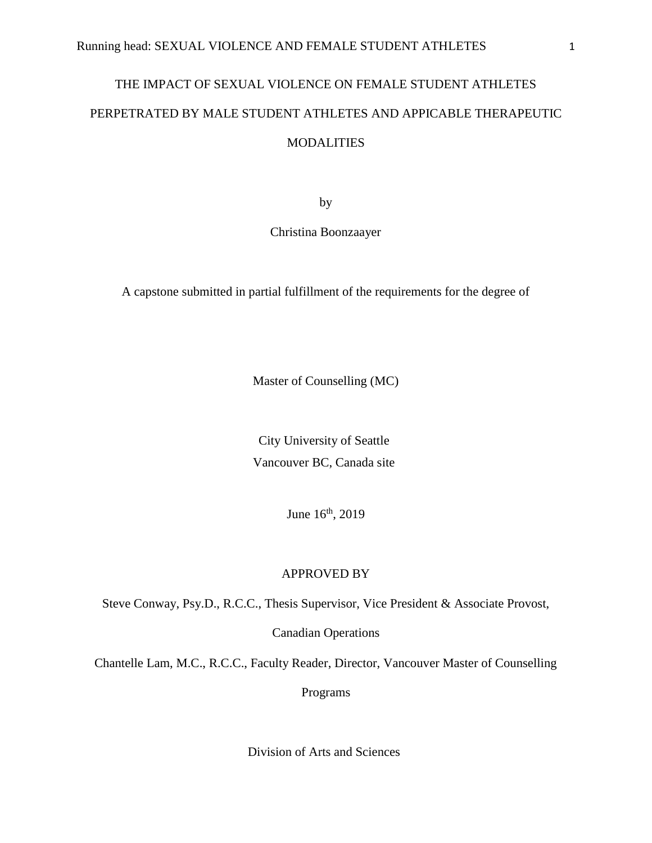# THE IMPACT OF SEXUAL VIOLENCE ON FEMALE STUDENT ATHLETES PERPETRATED BY MALE STUDENT ATHLETES AND APPICABLE THERAPEUTIC MODALITIES

by

Christina Boonzaayer

A capstone submitted in partial fulfillment of the requirements for the degree of

Master of Counselling (MC)

City University of Seattle Vancouver BC, Canada site

June  $16<sup>th</sup>$ , 2019

# APPROVED BY

Steve Conway, Psy.D., R.C.C., Thesis Supervisor, Vice President & Associate Provost,

Canadian Operations

Chantelle Lam, M.C., R.C.C., Faculty Reader, Director, Vancouver Master of Counselling

Programs

Division of Arts and Sciences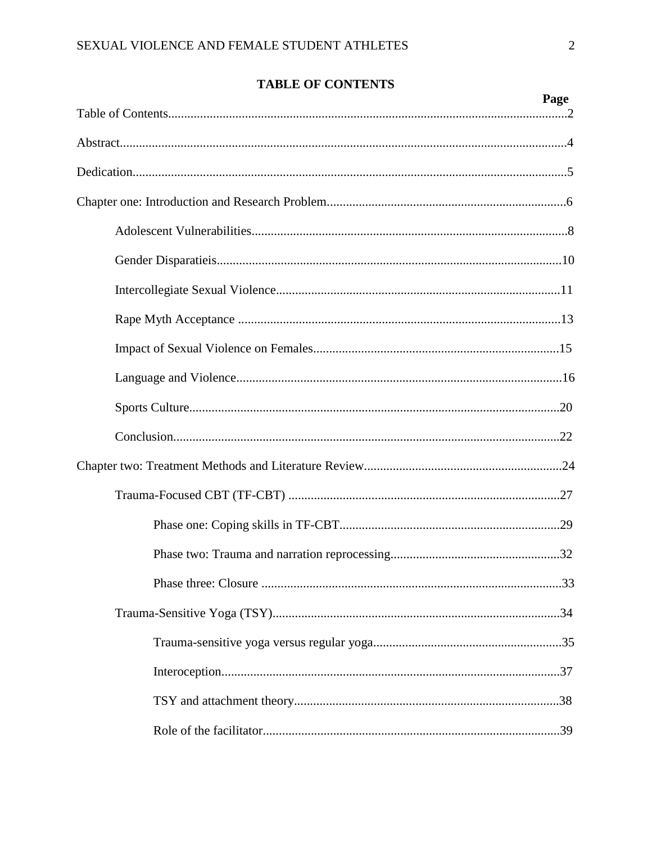# **TABLE OF CONTENTS**

| Page |
|------|
|      |
|      |
|      |
|      |
|      |
|      |
|      |
|      |
|      |
|      |
|      |
|      |
|      |
|      |
|      |
|      |
|      |
|      |
|      |
|      |
|      |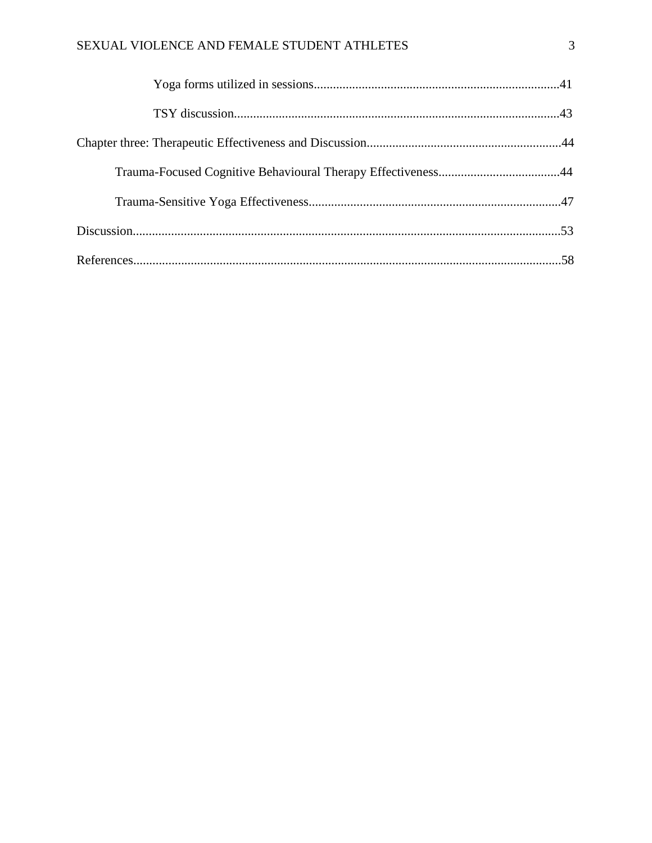# SEXUAL VIOLENCE AND FEMALE STUDENT ATHLETES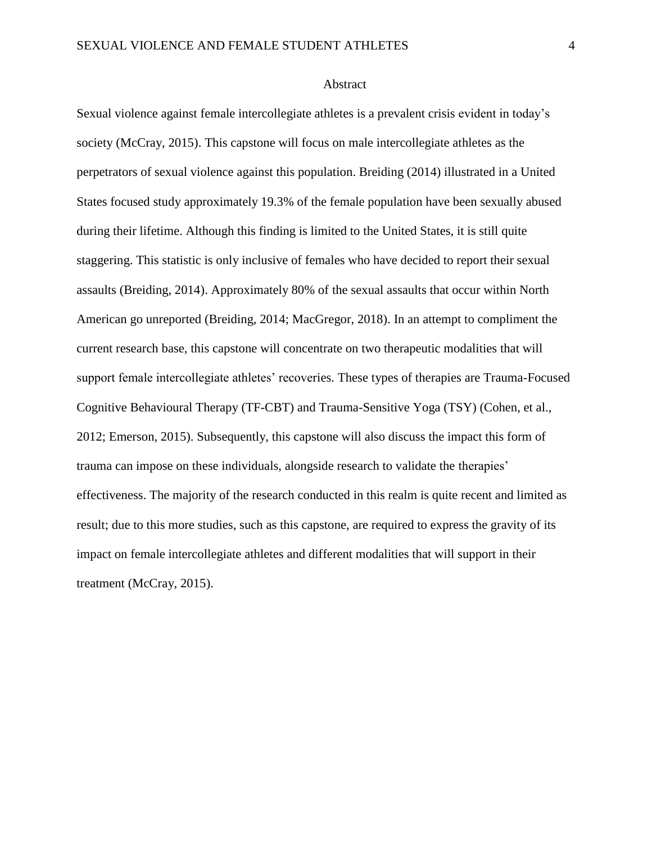### Abstract

Sexual violence against female intercollegiate athletes is a prevalent crisis evident in today's society (McCray, 2015). This capstone will focus on male intercollegiate athletes as the perpetrators of sexual violence against this population. Breiding (2014) illustrated in a United States focused study approximately 19.3% of the female population have been sexually abused during their lifetime. Although this finding is limited to the United States, it is still quite staggering. This statistic is only inclusive of females who have decided to report their sexual assaults (Breiding, 2014). Approximately 80% of the sexual assaults that occur within North American go unreported (Breiding, 2014; MacGregor, 2018). In an attempt to compliment the current research base, this capstone will concentrate on two therapeutic modalities that will support female intercollegiate athletes' recoveries. These types of therapies are Trauma-Focused Cognitive Behavioural Therapy (TF-CBT) and Trauma-Sensitive Yoga (TSY) (Cohen, et al., 2012; Emerson, 2015). Subsequently, this capstone will also discuss the impact this form of trauma can impose on these individuals, alongside research to validate the therapies' effectiveness. The majority of the research conducted in this realm is quite recent and limited as result; due to this more studies, such as this capstone, are required to express the gravity of its impact on female intercollegiate athletes and different modalities that will support in their treatment (McCray, 2015).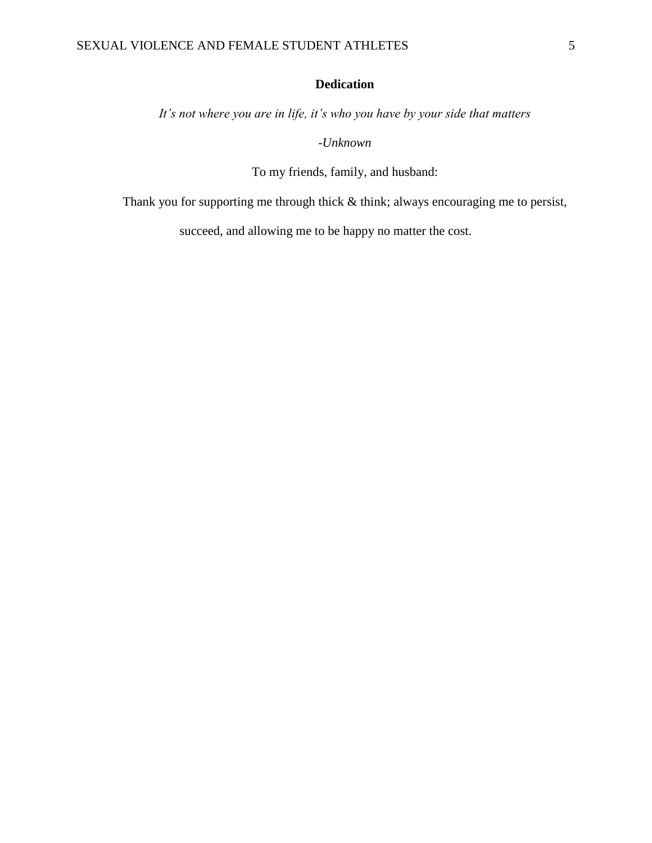# **Dedication**

*It's not where you are in life, it's who you have by your side that matters*

*-Unknown*

To my friends, family, and husband:

Thank you for supporting me through thick & think; always encouraging me to persist,

succeed, and allowing me to be happy no matter the cost.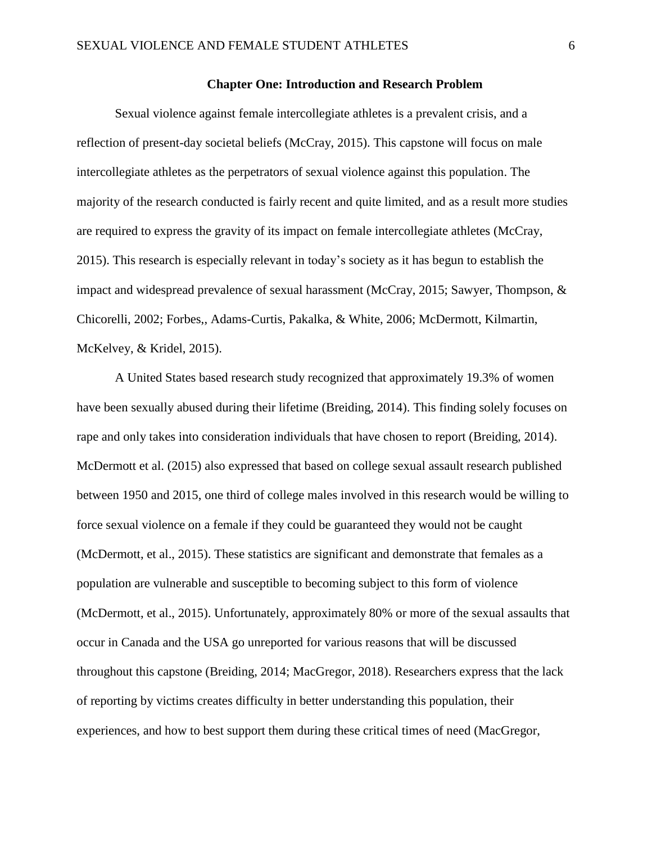# **Chapter One: Introduction and Research Problem**

Sexual violence against female intercollegiate athletes is a prevalent crisis, and a reflection of present-day societal beliefs (McCray, 2015). This capstone will focus on male intercollegiate athletes as the perpetrators of sexual violence against this population. The majority of the research conducted is fairly recent and quite limited, and as a result more studies are required to express the gravity of its impact on female intercollegiate athletes (McCray, 2015). This research is especially relevant in today's society as it has begun to establish the impact and widespread prevalence of sexual harassment (McCray, 2015; Sawyer, Thompson, & Chicorelli, 2002; Forbes,, Adams-Curtis, Pakalka, & White, 2006; McDermott, Kilmartin, McKelvey, & Kridel, 2015).

A United States based research study recognized that approximately 19.3% of women have been sexually abused during their lifetime (Breiding, 2014). This finding solely focuses on rape and only takes into consideration individuals that have chosen to report (Breiding, 2014). McDermott et al. (2015) also expressed that based on college sexual assault research published between 1950 and 2015, one third of college males involved in this research would be willing to force sexual violence on a female if they could be guaranteed they would not be caught (McDermott, et al., 2015). These statistics are significant and demonstrate that females as a population are vulnerable and susceptible to becoming subject to this form of violence (McDermott, et al., 2015). Unfortunately, approximately 80% or more of the sexual assaults that occur in Canada and the USA go unreported for various reasons that will be discussed throughout this capstone (Breiding, 2014; MacGregor, 2018). Researchers express that the lack of reporting by victims creates difficulty in better understanding this population, their experiences, and how to best support them during these critical times of need (MacGregor,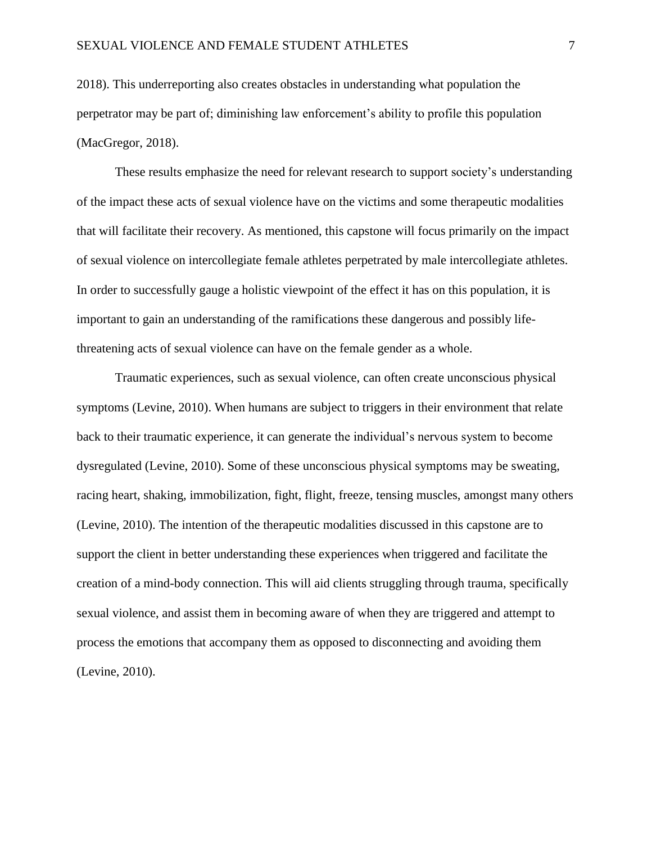2018). This underreporting also creates obstacles in understanding what population the perpetrator may be part of; diminishing law enforcement's ability to profile this population (MacGregor, 2018).

These results emphasize the need for relevant research to support society's understanding of the impact these acts of sexual violence have on the victims and some therapeutic modalities that will facilitate their recovery. As mentioned, this capstone will focus primarily on the impact of sexual violence on intercollegiate female athletes perpetrated by male intercollegiate athletes. In order to successfully gauge a holistic viewpoint of the effect it has on this population, it is important to gain an understanding of the ramifications these dangerous and possibly lifethreatening acts of sexual violence can have on the female gender as a whole.

Traumatic experiences, such as sexual violence, can often create unconscious physical symptoms (Levine, 2010). When humans are subject to triggers in their environment that relate back to their traumatic experience, it can generate the individual's nervous system to become dysregulated (Levine, 2010). Some of these unconscious physical symptoms may be sweating, racing heart, shaking, immobilization, fight, flight, freeze, tensing muscles, amongst many others (Levine, 2010). The intention of the therapeutic modalities discussed in this capstone are to support the client in better understanding these experiences when triggered and facilitate the creation of a mind-body connection. This will aid clients struggling through trauma, specifically sexual violence, and assist them in becoming aware of when they are triggered and attempt to process the emotions that accompany them as opposed to disconnecting and avoiding them (Levine, 2010).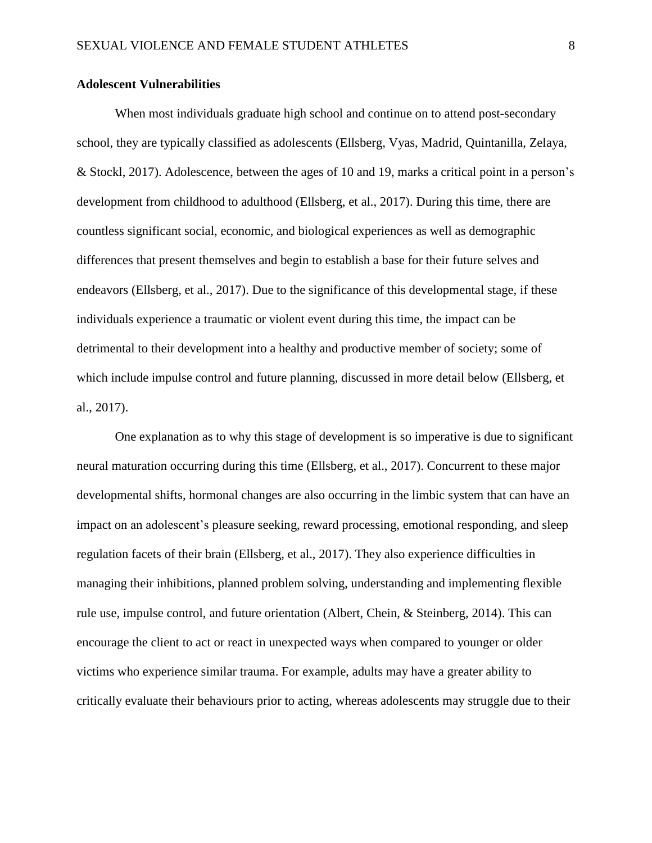# **Adolescent Vulnerabilities**

When most individuals graduate high school and continue on to attend post-secondary school, they are typically classified as adolescents (Ellsberg, Vyas, Madrid, Quintanilla, Zelaya, & Stockl, 2017). Adolescence, between the ages of 10 and 19, marks a critical point in a person's development from childhood to adulthood (Ellsberg, et al., 2017). During this time, there are countless significant social, economic, and biological experiences as well as demographic differences that present themselves and begin to establish a base for their future selves and endeavors (Ellsberg, et al., 2017). Due to the significance of this developmental stage, if these individuals experience a traumatic or violent event during this time, the impact can be detrimental to their development into a healthy and productive member of society; some of which include impulse control and future planning, discussed in more detail below (Ellsberg, et al., 2017).

One explanation as to why this stage of development is so imperative is due to significant neural maturation occurring during this time (Ellsberg, et al., 2017). Concurrent to these major developmental shifts, hormonal changes are also occurring in the limbic system that can have an impact on an adolescent's pleasure seeking, reward processing, emotional responding, and sleep regulation facets of their brain (Ellsberg, et al., 2017). They also experience difficulties in managing their inhibitions, planned problem solving, understanding and implementing flexible rule use, impulse control, and future orientation (Albert, Chein, & Steinberg, 2014). This can encourage the client to act or react in unexpected ways when compared to younger or older victims who experience similar trauma. For example, adults may have a greater ability to critically evaluate their behaviours prior to acting, whereas adolescents may struggle due to their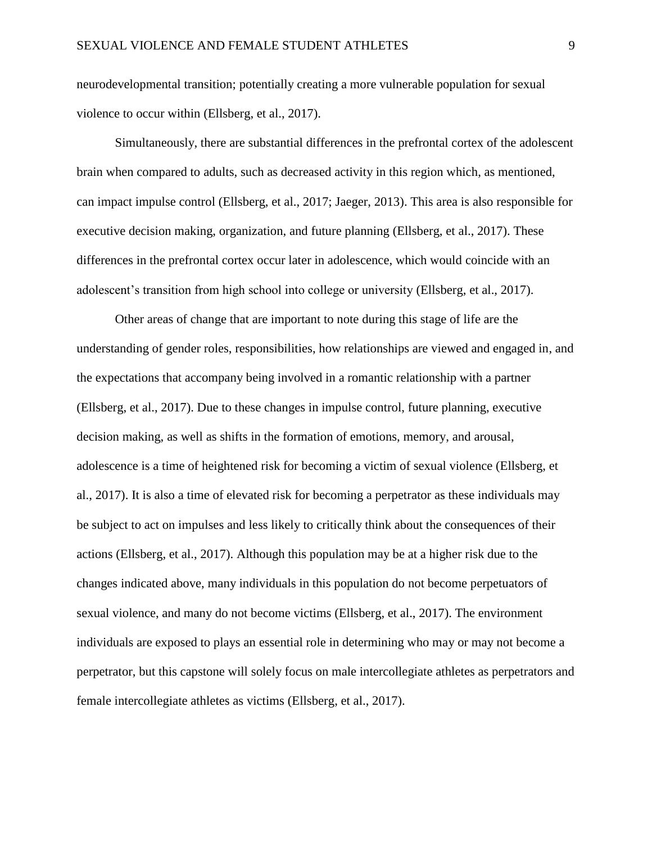neurodevelopmental transition; potentially creating a more vulnerable population for sexual violence to occur within (Ellsberg, et al., 2017).

Simultaneously, there are substantial differences in the prefrontal cortex of the adolescent brain when compared to adults, such as decreased activity in this region which, as mentioned, can impact impulse control (Ellsberg, et al., 2017; Jaeger, 2013). This area is also responsible for executive decision making, organization, and future planning (Ellsberg, et al., 2017). These differences in the prefrontal cortex occur later in adolescence, which would coincide with an adolescent's transition from high school into college or university (Ellsberg, et al., 2017).

Other areas of change that are important to note during this stage of life are the understanding of gender roles, responsibilities, how relationships are viewed and engaged in, and the expectations that accompany being involved in a romantic relationship with a partner (Ellsberg, et al., 2017). Due to these changes in impulse control, future planning, executive decision making, as well as shifts in the formation of emotions, memory, and arousal, adolescence is a time of heightened risk for becoming a victim of sexual violence (Ellsberg, et al., 2017). It is also a time of elevated risk for becoming a perpetrator as these individuals may be subject to act on impulses and less likely to critically think about the consequences of their actions (Ellsberg, et al., 2017). Although this population may be at a higher risk due to the changes indicated above, many individuals in this population do not become perpetuators of sexual violence, and many do not become victims (Ellsberg, et al., 2017). The environment individuals are exposed to plays an essential role in determining who may or may not become a perpetrator, but this capstone will solely focus on male intercollegiate athletes as perpetrators and female intercollegiate athletes as victims (Ellsberg, et al., 2017).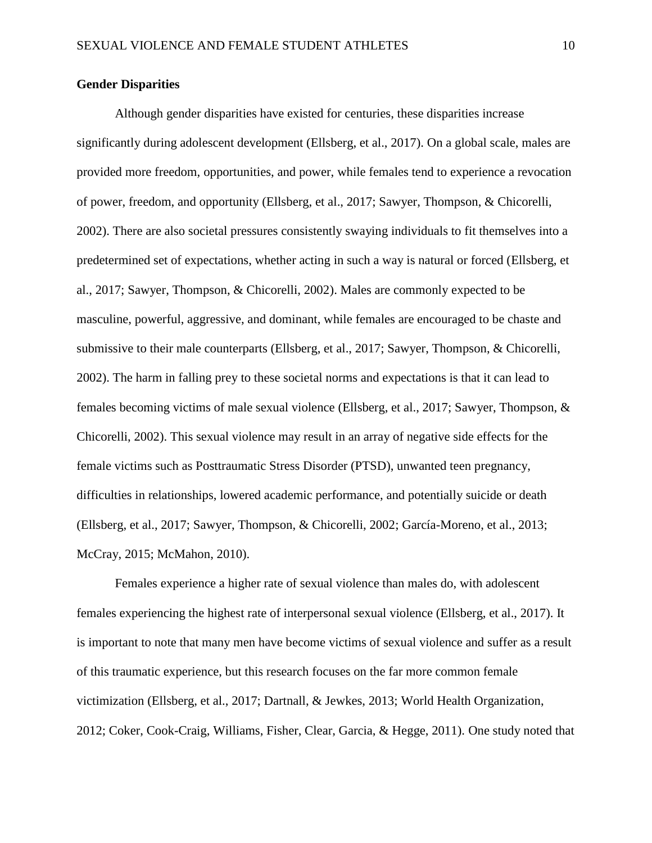# **Gender Disparities**

Although gender disparities have existed for centuries, these disparities increase significantly during adolescent development (Ellsberg, et al., 2017). On a global scale, males are provided more freedom, opportunities, and power, while females tend to experience a revocation of power, freedom, and opportunity (Ellsberg, et al., 2017; Sawyer, Thompson, & Chicorelli, 2002). There are also societal pressures consistently swaying individuals to fit themselves into a predetermined set of expectations, whether acting in such a way is natural or forced (Ellsberg, et al., 2017; Sawyer, Thompson, & Chicorelli, 2002). Males are commonly expected to be masculine, powerful, aggressive, and dominant, while females are encouraged to be chaste and submissive to their male counterparts (Ellsberg, et al., 2017; Sawyer, Thompson, & Chicorelli, 2002). The harm in falling prey to these societal norms and expectations is that it can lead to females becoming victims of male sexual violence (Ellsberg, et al., 2017; Sawyer, Thompson, & Chicorelli, 2002). This sexual violence may result in an array of negative side effects for the female victims such as Posttraumatic Stress Disorder (PTSD), unwanted teen pregnancy, difficulties in relationships, lowered academic performance, and potentially suicide or death (Ellsberg, et al., 2017; Sawyer, Thompson, & Chicorelli, 2002; García-Moreno, et al., 2013; McCray, 2015; McMahon, 2010).

Females experience a higher rate of sexual violence than males do, with adolescent females experiencing the highest rate of interpersonal sexual violence (Ellsberg, et al., 2017). It is important to note that many men have become victims of sexual violence and suffer as a result of this traumatic experience, but this research focuses on the far more common female victimization (Ellsberg, et al., 2017; Dartnall, & Jewkes, 2013; World Health Organization, 2012; Coker, Cook-Craig, Williams, Fisher, Clear, Garcia, & Hegge, 2011). One study noted that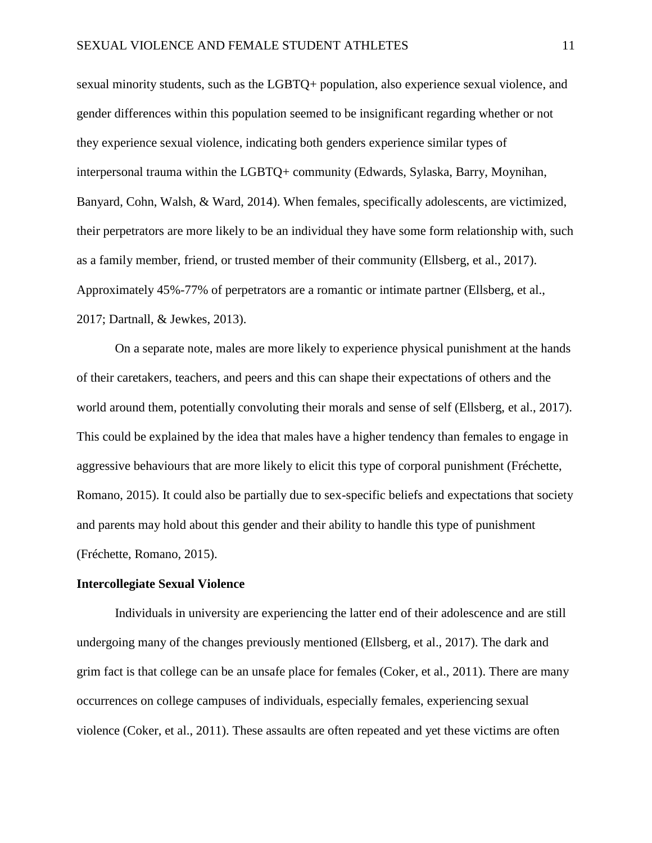sexual minority students, such as the LGBTQ+ population, also experience sexual violence, and gender differences within this population seemed to be insignificant regarding whether or not they experience sexual violence, indicating both genders experience similar types of interpersonal trauma within the LGBTQ+ community (Edwards, Sylaska, Barry, Moynihan, Banyard, Cohn, Walsh, & Ward, 2014). When females, specifically adolescents, are victimized, their perpetrators are more likely to be an individual they have some form relationship with, such as a family member, friend, or trusted member of their community (Ellsberg, et al., 2017). Approximately 45%-77% of perpetrators are a romantic or intimate partner (Ellsberg, et al., 2017; Dartnall, & Jewkes, 2013).

On a separate note, males are more likely to experience physical punishment at the hands of their caretakers, teachers, and peers and this can shape their expectations of others and the world around them, potentially convoluting their morals and sense of self (Ellsberg, et al., 2017). This could be explained by the idea that males have a higher tendency than females to engage in aggressive behaviours that are more likely to elicit this type of corporal punishment (Fréchette, Romano, 2015). It could also be partially due to sex-specific beliefs and expectations that society and parents may hold about this gender and their ability to handle this type of punishment (Fréchette, Romano, 2015).

# **Intercollegiate Sexual Violence**

Individuals in university are experiencing the latter end of their adolescence and are still undergoing many of the changes previously mentioned (Ellsberg, et al., 2017). The dark and grim fact is that college can be an unsafe place for females (Coker, et al., 2011). There are many occurrences on college campuses of individuals, especially females, experiencing sexual violence (Coker, et al., 2011). These assaults are often repeated and yet these victims are often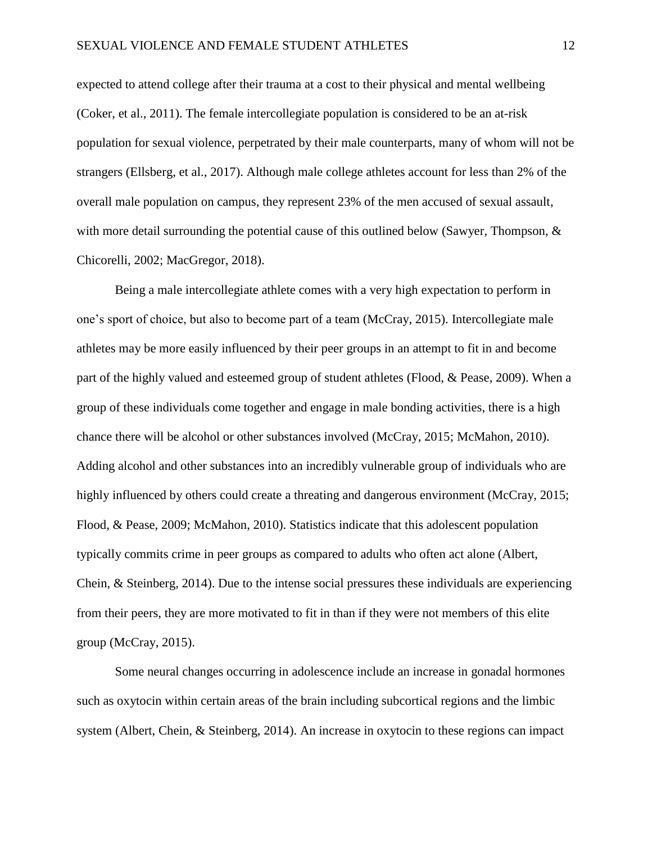expected to attend college after their trauma at a cost to their physical and mental wellbeing (Coker, et al., 2011). The female intercollegiate population is considered to be an at-risk population for sexual violence, perpetrated by their male counterparts, many of whom will not be strangers (Ellsberg, et al., 2017). Although male college athletes account for less than 2% of the overall male population on campus, they represent 23% of the men accused of sexual assault, with more detail surrounding the potential cause of this outlined below (Sawyer, Thompson,  $\&$ Chicorelli, 2002; MacGregor, 2018).

Being a male intercollegiate athlete comes with a very high expectation to perform in one's sport of choice, but also to become part of a team (McCray, 2015). Intercollegiate male athletes may be more easily influenced by their peer groups in an attempt to fit in and become part of the highly valued and esteemed group of student athletes (Flood, & Pease, 2009). When a group of these individuals come together and engage in male bonding activities, there is a high chance there will be alcohol or other substances involved (McCray, 2015; McMahon, 2010). Adding alcohol and other substances into an incredibly vulnerable group of individuals who are highly influenced by others could create a threating and dangerous environment (McCray, 2015; Flood, & Pease, 2009; McMahon, 2010). Statistics indicate that this adolescent population typically commits crime in peer groups as compared to adults who often act alone (Albert, Chein, & Steinberg, 2014). Due to the intense social pressures these individuals are experiencing from their peers, they are more motivated to fit in than if they were not members of this elite group (McCray, 2015).

Some neural changes occurring in adolescence include an increase in gonadal hormones such as oxytocin within certain areas of the brain including subcortical regions and the limbic system (Albert, Chein, & Steinberg, 2014). An increase in oxytocin to these regions can impact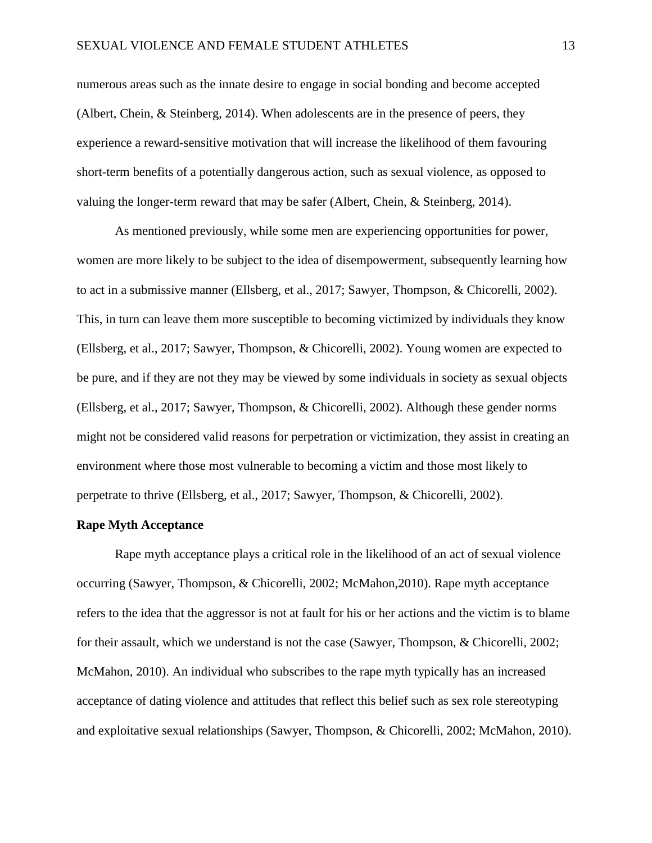numerous areas such as the innate desire to engage in social bonding and become accepted (Albert, Chein, & Steinberg, 2014). When adolescents are in the presence of peers, they experience a reward-sensitive motivation that will increase the likelihood of them favouring short-term benefits of a potentially dangerous action, such as sexual violence, as opposed to valuing the longer-term reward that may be safer (Albert, Chein, & Steinberg, 2014).

As mentioned previously, while some men are experiencing opportunities for power, women are more likely to be subject to the idea of disempowerment, subsequently learning how to act in a submissive manner (Ellsberg, et al., 2017; Sawyer, Thompson, & Chicorelli, 2002). This, in turn can leave them more susceptible to becoming victimized by individuals they know (Ellsberg, et al., 2017; Sawyer, Thompson, & Chicorelli, 2002). Young women are expected to be pure, and if they are not they may be viewed by some individuals in society as sexual objects (Ellsberg, et al., 2017; Sawyer, Thompson, & Chicorelli, 2002). Although these gender norms might not be considered valid reasons for perpetration or victimization, they assist in creating an environment where those most vulnerable to becoming a victim and those most likely to perpetrate to thrive (Ellsberg, et al., 2017; Sawyer, Thompson, & Chicorelli, 2002).

#### **Rape Myth Acceptance**

Rape myth acceptance plays a critical role in the likelihood of an act of sexual violence occurring (Sawyer, Thompson, & Chicorelli, 2002; McMahon,2010). Rape myth acceptance refers to the idea that the aggressor is not at fault for his or her actions and the victim is to blame for their assault, which we understand is not the case (Sawyer, Thompson, & Chicorelli, 2002; McMahon, 2010). An individual who subscribes to the rape myth typically has an increased acceptance of dating violence and attitudes that reflect this belief such as sex role stereotyping and exploitative sexual relationships (Sawyer, Thompson, & Chicorelli, 2002; McMahon, 2010).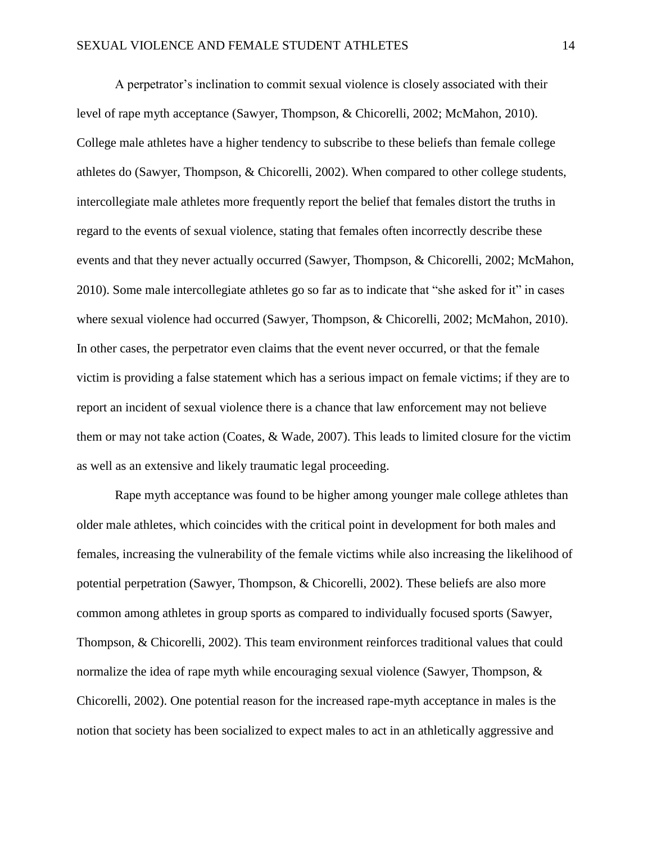A perpetrator's inclination to commit sexual violence is closely associated with their level of rape myth acceptance (Sawyer, Thompson, & Chicorelli, 2002; McMahon, 2010). College male athletes have a higher tendency to subscribe to these beliefs than female college athletes do (Sawyer, Thompson, & Chicorelli, 2002). When compared to other college students, intercollegiate male athletes more frequently report the belief that females distort the truths in regard to the events of sexual violence, stating that females often incorrectly describe these events and that they never actually occurred (Sawyer, Thompson, & Chicorelli, 2002; McMahon, 2010). Some male intercollegiate athletes go so far as to indicate that "she asked for it" in cases where sexual violence had occurred (Sawyer, Thompson, & Chicorelli, 2002; McMahon, 2010). In other cases, the perpetrator even claims that the event never occurred, or that the female victim is providing a false statement which has a serious impact on female victims; if they are to report an incident of sexual violence there is a chance that law enforcement may not believe them or may not take action (Coates, & Wade, 2007). This leads to limited closure for the victim as well as an extensive and likely traumatic legal proceeding.

Rape myth acceptance was found to be higher among younger male college athletes than older male athletes, which coincides with the critical point in development for both males and females, increasing the vulnerability of the female victims while also increasing the likelihood of potential perpetration (Sawyer, Thompson, & Chicorelli, 2002). These beliefs are also more common among athletes in group sports as compared to individually focused sports (Sawyer, Thompson, & Chicorelli, 2002). This team environment reinforces traditional values that could normalize the idea of rape myth while encouraging sexual violence (Sawyer, Thompson, & Chicorelli, 2002). One potential reason for the increased rape-myth acceptance in males is the notion that society has been socialized to expect males to act in an athletically aggressive and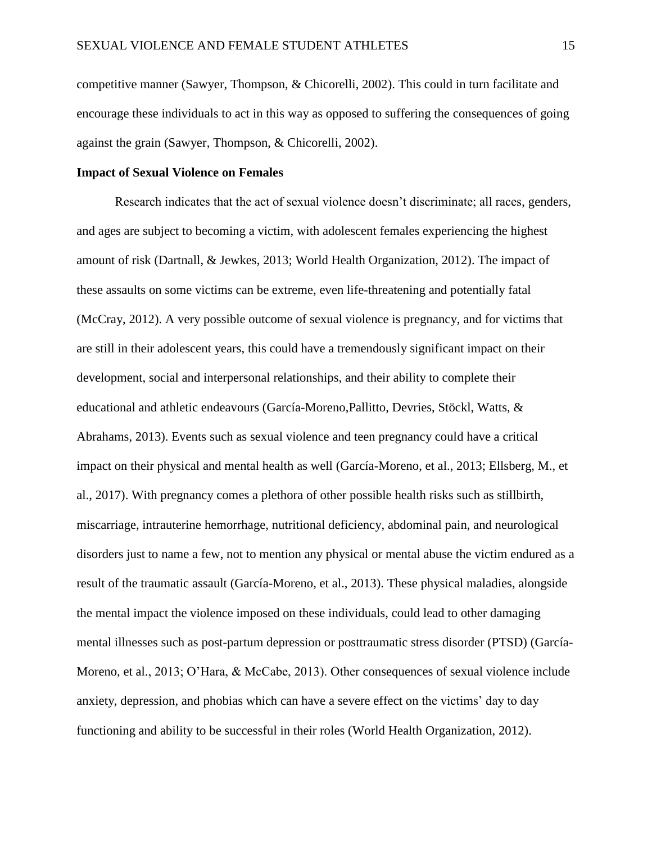competitive manner (Sawyer, Thompson, & Chicorelli, 2002). This could in turn facilitate and encourage these individuals to act in this way as opposed to suffering the consequences of going against the grain (Sawyer, Thompson, & Chicorelli, 2002).

# **Impact of Sexual Violence on Females**

Research indicates that the act of sexual violence doesn't discriminate; all races, genders, and ages are subject to becoming a victim, with adolescent females experiencing the highest amount of risk (Dartnall, & Jewkes, 2013; World Health Organization, 2012). The impact of these assaults on some victims can be extreme, even life-threatening and potentially fatal (McCray, 2012). A very possible outcome of sexual violence is pregnancy, and for victims that are still in their adolescent years, this could have a tremendously significant impact on their development, social and interpersonal relationships, and their ability to complete their educational and athletic endeavours (García-Moreno,Pallitto, Devries, Stöckl, Watts, & Abrahams, 2013). Events such as sexual violence and teen pregnancy could have a critical impact on their physical and mental health as well (García-Moreno, et al., 2013; Ellsberg, M., et al., 2017). With pregnancy comes a plethora of other possible health risks such as stillbirth, miscarriage, intrauterine hemorrhage, nutritional deficiency, abdominal pain, and neurological disorders just to name a few, not to mention any physical or mental abuse the victim endured as a result of the traumatic assault (García-Moreno, et al., 2013). These physical maladies, alongside the mental impact the violence imposed on these individuals, could lead to other damaging mental illnesses such as post-partum depression or posttraumatic stress disorder (PTSD) (García-Moreno, et al., 2013; O'Hara, & McCabe, 2013). Other consequences of sexual violence include anxiety, depression, and phobias which can have a severe effect on the victims' day to day functioning and ability to be successful in their roles (World Health Organization, 2012).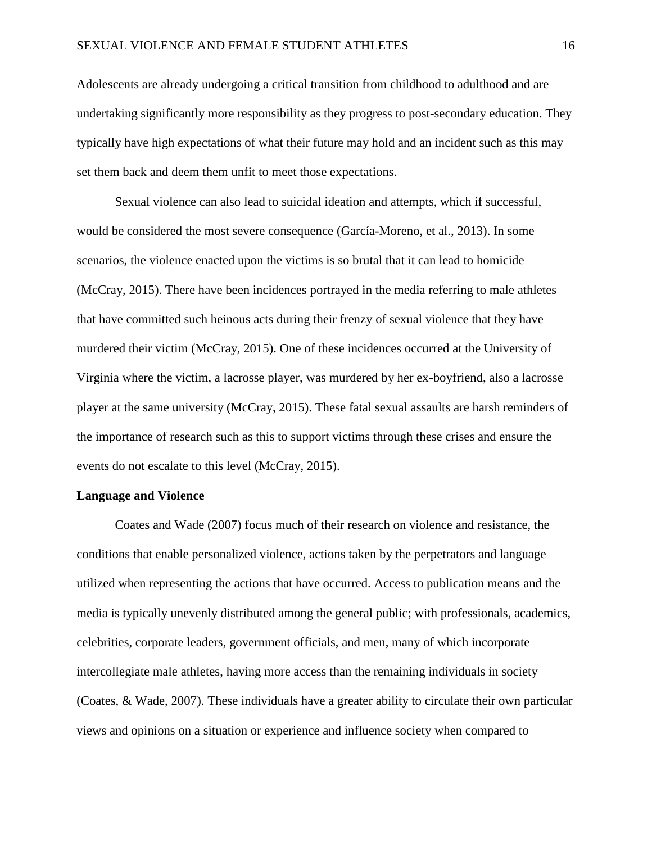Adolescents are already undergoing a critical transition from childhood to adulthood and are undertaking significantly more responsibility as they progress to post-secondary education. They typically have high expectations of what their future may hold and an incident such as this may set them back and deem them unfit to meet those expectations.

Sexual violence can also lead to suicidal ideation and attempts, which if successful, would be considered the most severe consequence (García-Moreno, et al., 2013). In some scenarios, the violence enacted upon the victims is so brutal that it can lead to homicide (McCray, 2015). There have been incidences portrayed in the media referring to male athletes that have committed such heinous acts during their frenzy of sexual violence that they have murdered their victim (McCray, 2015). One of these incidences occurred at the University of Virginia where the victim, a lacrosse player, was murdered by her ex-boyfriend, also a lacrosse player at the same university (McCray, 2015). These fatal sexual assaults are harsh reminders of the importance of research such as this to support victims through these crises and ensure the events do not escalate to this level (McCray, 2015).

# **Language and Violence**

Coates and Wade (2007) focus much of their research on violence and resistance, the conditions that enable personalized violence, actions taken by the perpetrators and language utilized when representing the actions that have occurred. Access to publication means and the media is typically unevenly distributed among the general public; with professionals, academics, celebrities, corporate leaders, government officials, and men, many of which incorporate intercollegiate male athletes, having more access than the remaining individuals in society (Coates, & Wade, 2007). These individuals have a greater ability to circulate their own particular views and opinions on a situation or experience and influence society when compared to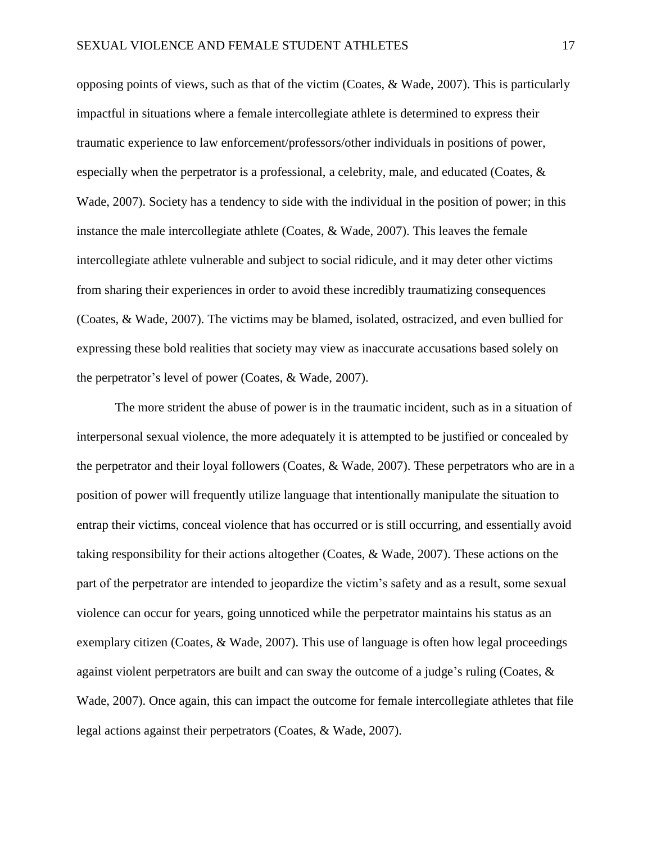opposing points of views, such as that of the victim (Coates, & Wade, 2007). This is particularly impactful in situations where a female intercollegiate athlete is determined to express their traumatic experience to law enforcement/professors/other individuals in positions of power, especially when the perpetrator is a professional, a celebrity, male, and educated (Coates, & Wade, 2007). Society has a tendency to side with the individual in the position of power; in this instance the male intercollegiate athlete (Coates, & Wade, 2007). This leaves the female intercollegiate athlete vulnerable and subject to social ridicule, and it may deter other victims from sharing their experiences in order to avoid these incredibly traumatizing consequences (Coates, & Wade, 2007). The victims may be blamed, isolated, ostracized, and even bullied for expressing these bold realities that society may view as inaccurate accusations based solely on the perpetrator's level of power (Coates, & Wade, 2007).

The more strident the abuse of power is in the traumatic incident, such as in a situation of interpersonal sexual violence, the more adequately it is attempted to be justified or concealed by the perpetrator and their loyal followers (Coates, & Wade, 2007). These perpetrators who are in a position of power will frequently utilize language that intentionally manipulate the situation to entrap their victims, conceal violence that has occurred or is still occurring, and essentially avoid taking responsibility for their actions altogether (Coates, & Wade, 2007). These actions on the part of the perpetrator are intended to jeopardize the victim's safety and as a result, some sexual violence can occur for years, going unnoticed while the perpetrator maintains his status as an exemplary citizen (Coates,  $& Wade, 2007$ ). This use of language is often how legal proceedings against violent perpetrators are built and can sway the outcome of a judge's ruling (Coates,  $\&$ Wade, 2007). Once again, this can impact the outcome for female intercollegiate athletes that file legal actions against their perpetrators (Coates, & Wade, 2007).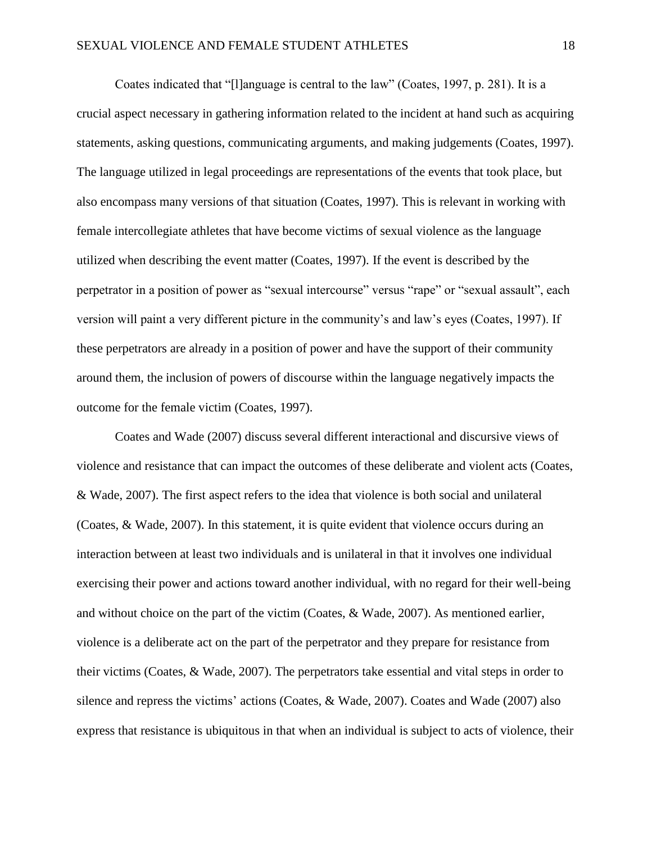Coates indicated that "[l]anguage is central to the law" (Coates, 1997, p. 281). It is a crucial aspect necessary in gathering information related to the incident at hand such as acquiring statements, asking questions, communicating arguments, and making judgements (Coates, 1997). The language utilized in legal proceedings are representations of the events that took place, but also encompass many versions of that situation (Coates, 1997). This is relevant in working with female intercollegiate athletes that have become victims of sexual violence as the language utilized when describing the event matter (Coates, 1997). If the event is described by the perpetrator in a position of power as "sexual intercourse" versus "rape" or "sexual assault", each version will paint a very different picture in the community's and law's eyes (Coates, 1997). If these perpetrators are already in a position of power and have the support of their community around them, the inclusion of powers of discourse within the language negatively impacts the outcome for the female victim (Coates, 1997).

Coates and Wade (2007) discuss several different interactional and discursive views of violence and resistance that can impact the outcomes of these deliberate and violent acts (Coates, & Wade, 2007). The first aspect refers to the idea that violence is both social and unilateral (Coates, & Wade, 2007). In this statement, it is quite evident that violence occurs during an interaction between at least two individuals and is unilateral in that it involves one individual exercising their power and actions toward another individual, with no regard for their well-being and without choice on the part of the victim (Coates, & Wade, 2007). As mentioned earlier, violence is a deliberate act on the part of the perpetrator and they prepare for resistance from their victims (Coates, & Wade, 2007). The perpetrators take essential and vital steps in order to silence and repress the victims' actions (Coates, & Wade, 2007). Coates and Wade (2007) also express that resistance is ubiquitous in that when an individual is subject to acts of violence, their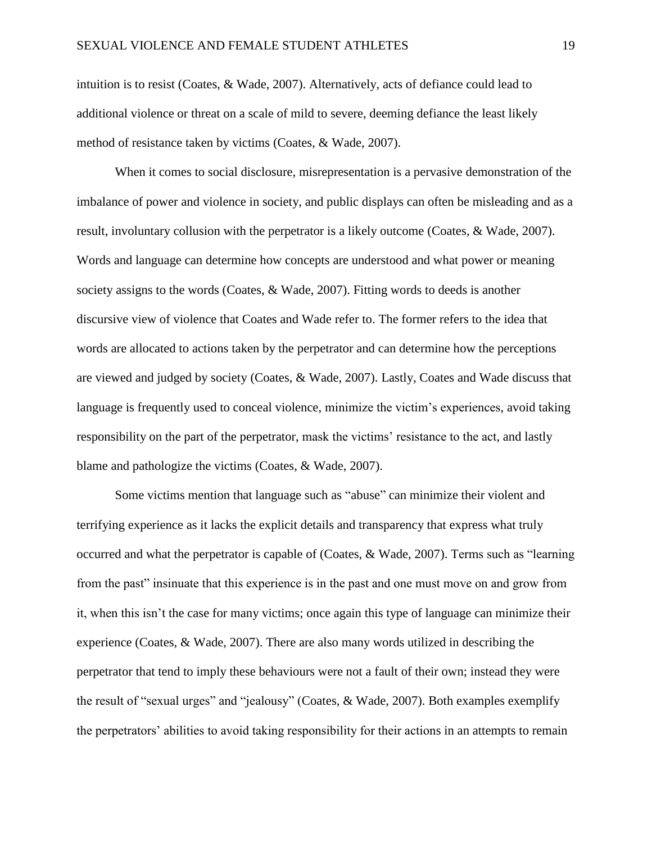intuition is to resist (Coates, & Wade, 2007). Alternatively, acts of defiance could lead to additional violence or threat on a scale of mild to severe, deeming defiance the least likely method of resistance taken by victims (Coates, & Wade, 2007).

When it comes to social disclosure, misrepresentation is a pervasive demonstration of the imbalance of power and violence in society, and public displays can often be misleading and as a result, involuntary collusion with the perpetrator is a likely outcome (Coates, & Wade, 2007). Words and language can determine how concepts are understood and what power or meaning society assigns to the words (Coates, & Wade, 2007). Fitting words to deeds is another discursive view of violence that Coates and Wade refer to. The former refers to the idea that words are allocated to actions taken by the perpetrator and can determine how the perceptions are viewed and judged by society (Coates, & Wade, 2007). Lastly, Coates and Wade discuss that language is frequently used to conceal violence, minimize the victim's experiences, avoid taking responsibility on the part of the perpetrator, mask the victims' resistance to the act, and lastly blame and pathologize the victims (Coates, & Wade, 2007).

Some victims mention that language such as "abuse" can minimize their violent and terrifying experience as it lacks the explicit details and transparency that express what truly occurred and what the perpetrator is capable of (Coates, & Wade, 2007). Terms such as "learning from the past" insinuate that this experience is in the past and one must move on and grow from it, when this isn't the case for many victims; once again this type of language can minimize their experience (Coates, & Wade, 2007). There are also many words utilized in describing the perpetrator that tend to imply these behaviours were not a fault of their own; instead they were the result of "sexual urges" and "jealousy" (Coates, & Wade, 2007). Both examples exemplify the perpetrators' abilities to avoid taking responsibility for their actions in an attempts to remain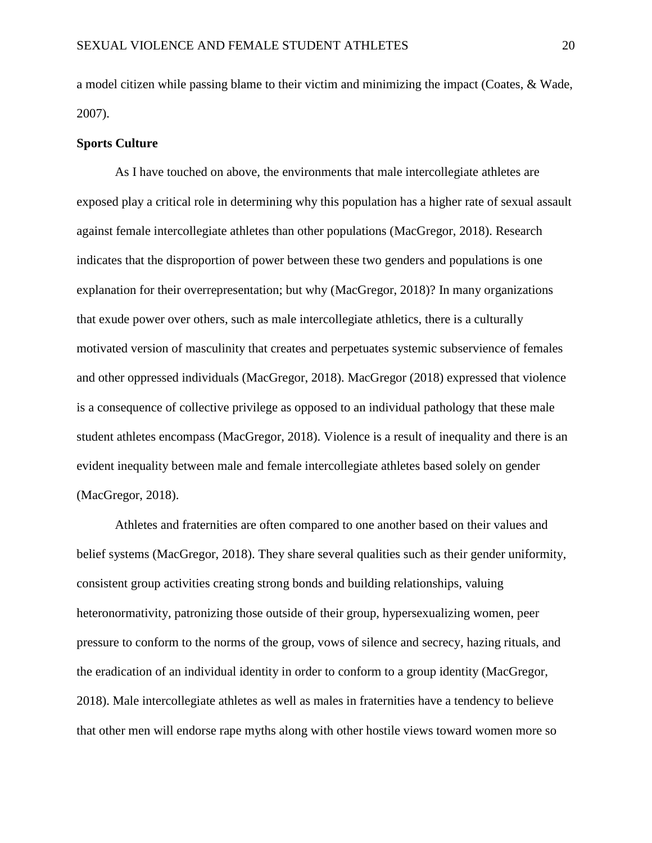a model citizen while passing blame to their victim and minimizing the impact (Coates, & Wade, 2007).

#### **Sports Culture**

As I have touched on above, the environments that male intercollegiate athletes are exposed play a critical role in determining why this population has a higher rate of sexual assault against female intercollegiate athletes than other populations (MacGregor, 2018). Research indicates that the disproportion of power between these two genders and populations is one explanation for their overrepresentation; but why (MacGregor, 2018)? In many organizations that exude power over others, such as male intercollegiate athletics, there is a culturally motivated version of masculinity that creates and perpetuates systemic subservience of females and other oppressed individuals (MacGregor, 2018). MacGregor (2018) expressed that violence is a consequence of collective privilege as opposed to an individual pathology that these male student athletes encompass (MacGregor, 2018). Violence is a result of inequality and there is an evident inequality between male and female intercollegiate athletes based solely on gender (MacGregor, 2018).

Athletes and fraternities are often compared to one another based on their values and belief systems (MacGregor, 2018). They share several qualities such as their gender uniformity, consistent group activities creating strong bonds and building relationships, valuing heteronormativity, patronizing those outside of their group, hypersexualizing women, peer pressure to conform to the norms of the group, vows of silence and secrecy, hazing rituals, and the eradication of an individual identity in order to conform to a group identity (MacGregor, 2018). Male intercollegiate athletes as well as males in fraternities have a tendency to believe that other men will endorse rape myths along with other hostile views toward women more so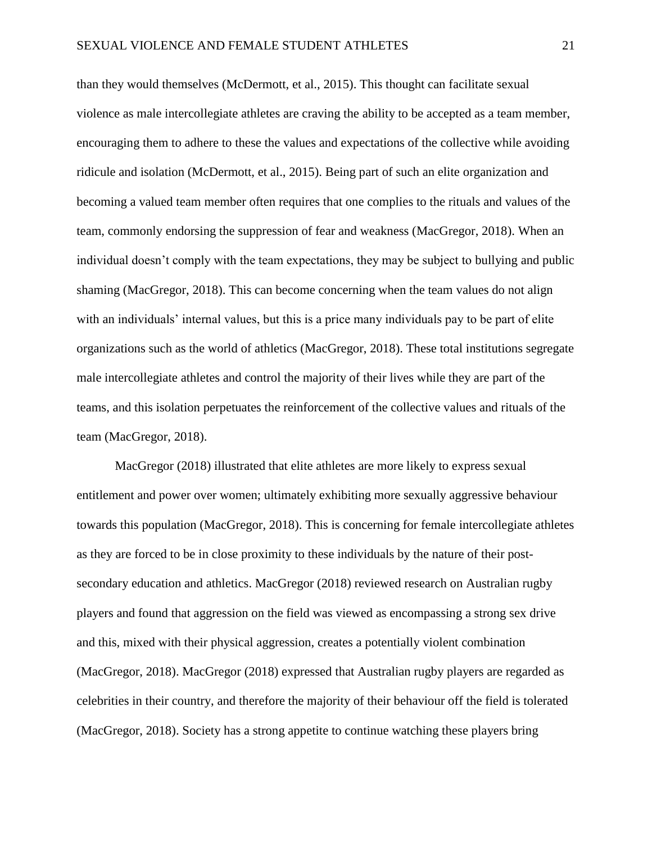than they would themselves (McDermott, et al., 2015). This thought can facilitate sexual violence as male intercollegiate athletes are craving the ability to be accepted as a team member, encouraging them to adhere to these the values and expectations of the collective while avoiding ridicule and isolation (McDermott, et al., 2015). Being part of such an elite organization and becoming a valued team member often requires that one complies to the rituals and values of the team, commonly endorsing the suppression of fear and weakness (MacGregor, 2018). When an individual doesn't comply with the team expectations, they may be subject to bullying and public shaming (MacGregor, 2018). This can become concerning when the team values do not align with an individuals' internal values, but this is a price many individuals pay to be part of elite organizations such as the world of athletics (MacGregor, 2018). These total institutions segregate male intercollegiate athletes and control the majority of their lives while they are part of the teams, and this isolation perpetuates the reinforcement of the collective values and rituals of the team (MacGregor, 2018).

MacGregor (2018) illustrated that elite athletes are more likely to express sexual entitlement and power over women; ultimately exhibiting more sexually aggressive behaviour towards this population (MacGregor, 2018). This is concerning for female intercollegiate athletes as they are forced to be in close proximity to these individuals by the nature of their postsecondary education and athletics. MacGregor (2018) reviewed research on Australian rugby players and found that aggression on the field was viewed as encompassing a strong sex drive and this, mixed with their physical aggression, creates a potentially violent combination (MacGregor, 2018). MacGregor (2018) expressed that Australian rugby players are regarded as celebrities in their country, and therefore the majority of their behaviour off the field is tolerated (MacGregor, 2018). Society has a strong appetite to continue watching these players bring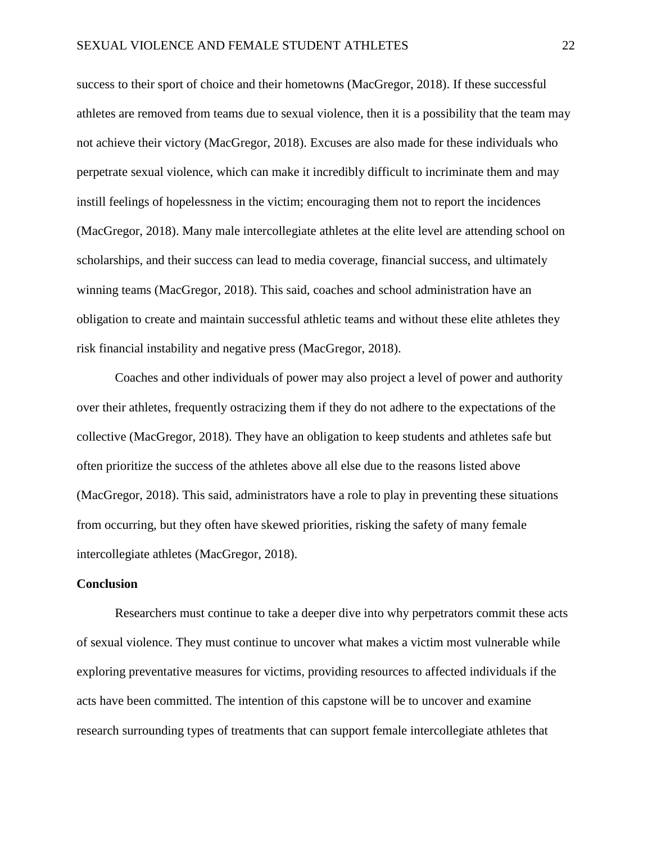success to their sport of choice and their hometowns (MacGregor, 2018). If these successful athletes are removed from teams due to sexual violence, then it is a possibility that the team may not achieve their victory (MacGregor, 2018). Excuses are also made for these individuals who perpetrate sexual violence, which can make it incredibly difficult to incriminate them and may instill feelings of hopelessness in the victim; encouraging them not to report the incidences (MacGregor, 2018). Many male intercollegiate athletes at the elite level are attending school on scholarships, and their success can lead to media coverage, financial success, and ultimately winning teams (MacGregor, 2018). This said, coaches and school administration have an obligation to create and maintain successful athletic teams and without these elite athletes they risk financial instability and negative press (MacGregor, 2018).

Coaches and other individuals of power may also project a level of power and authority over their athletes, frequently ostracizing them if they do not adhere to the expectations of the collective (MacGregor, 2018). They have an obligation to keep students and athletes safe but often prioritize the success of the athletes above all else due to the reasons listed above (MacGregor, 2018). This said, administrators have a role to play in preventing these situations from occurring, but they often have skewed priorities, risking the safety of many female intercollegiate athletes (MacGregor, 2018).

# **Conclusion**

Researchers must continue to take a deeper dive into why perpetrators commit these acts of sexual violence. They must continue to uncover what makes a victim most vulnerable while exploring preventative measures for victims, providing resources to affected individuals if the acts have been committed. The intention of this capstone will be to uncover and examine research surrounding types of treatments that can support female intercollegiate athletes that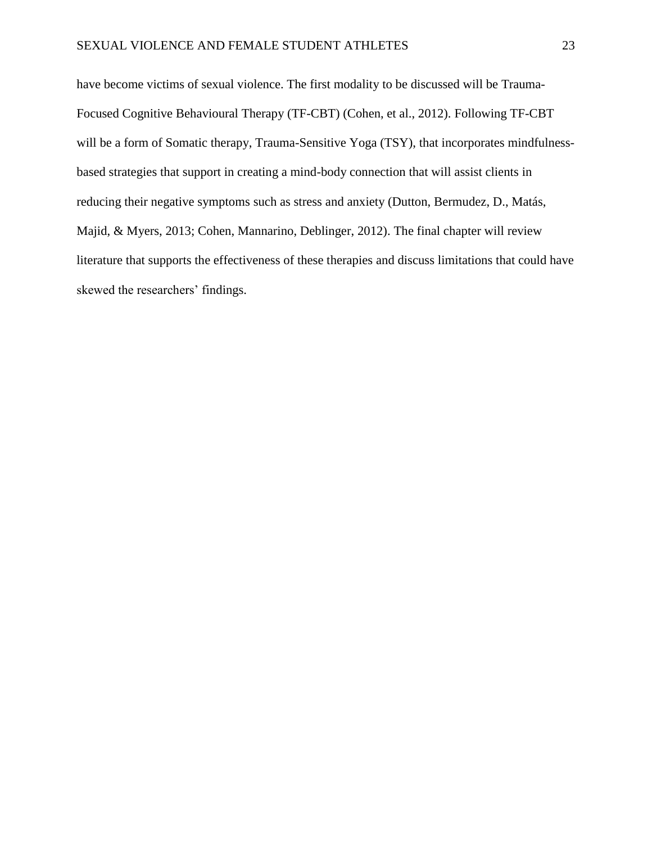have become victims of sexual violence. The first modality to be discussed will be Trauma-Focused Cognitive Behavioural Therapy (TF-CBT) (Cohen, et al., 2012). Following TF-CBT will be a form of Somatic therapy, Trauma-Sensitive Yoga (TSY), that incorporates mindfulnessbased strategies that support in creating a mind-body connection that will assist clients in reducing their negative symptoms such as stress and anxiety (Dutton, Bermudez, D., Matás, Majid, & Myers, 2013; Cohen, Mannarino, Deblinger, 2012). The final chapter will review literature that supports the effectiveness of these therapies and discuss limitations that could have skewed the researchers' findings.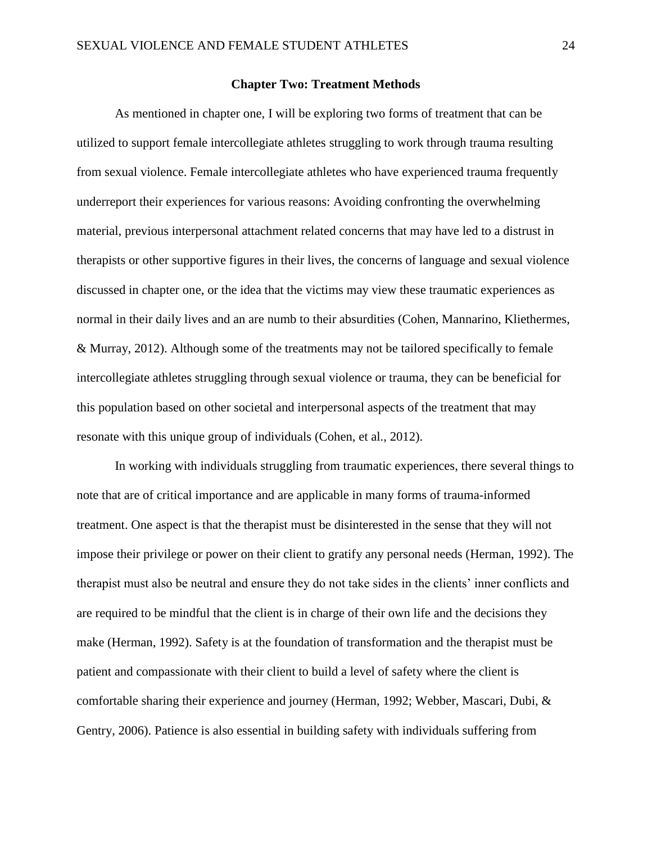### **Chapter Two: Treatment Methods**

As mentioned in chapter one, I will be exploring two forms of treatment that can be utilized to support female intercollegiate athletes struggling to work through trauma resulting from sexual violence. Female intercollegiate athletes who have experienced trauma frequently underreport their experiences for various reasons: Avoiding confronting the overwhelming material, previous interpersonal attachment related concerns that may have led to a distrust in therapists or other supportive figures in their lives, the concerns of language and sexual violence discussed in chapter one, or the idea that the victims may view these traumatic experiences as normal in their daily lives and an are numb to their absurdities (Cohen, Mannarino, Kliethermes, & Murray, 2012). Although some of the treatments may not be tailored specifically to female intercollegiate athletes struggling through sexual violence or trauma, they can be beneficial for this population based on other societal and interpersonal aspects of the treatment that may resonate with this unique group of individuals (Cohen, et al., 2012).

In working with individuals struggling from traumatic experiences, there several things to note that are of critical importance and are applicable in many forms of trauma-informed treatment. One aspect is that the therapist must be disinterested in the sense that they will not impose their privilege or power on their client to gratify any personal needs (Herman, 1992). The therapist must also be neutral and ensure they do not take sides in the clients' inner conflicts and are required to be mindful that the client is in charge of their own life and the decisions they make (Herman, 1992). Safety is at the foundation of transformation and the therapist must be patient and compassionate with their client to build a level of safety where the client is comfortable sharing their experience and journey (Herman, 1992; Webber, Mascari, Dubi, & Gentry, 2006). Patience is also essential in building safety with individuals suffering from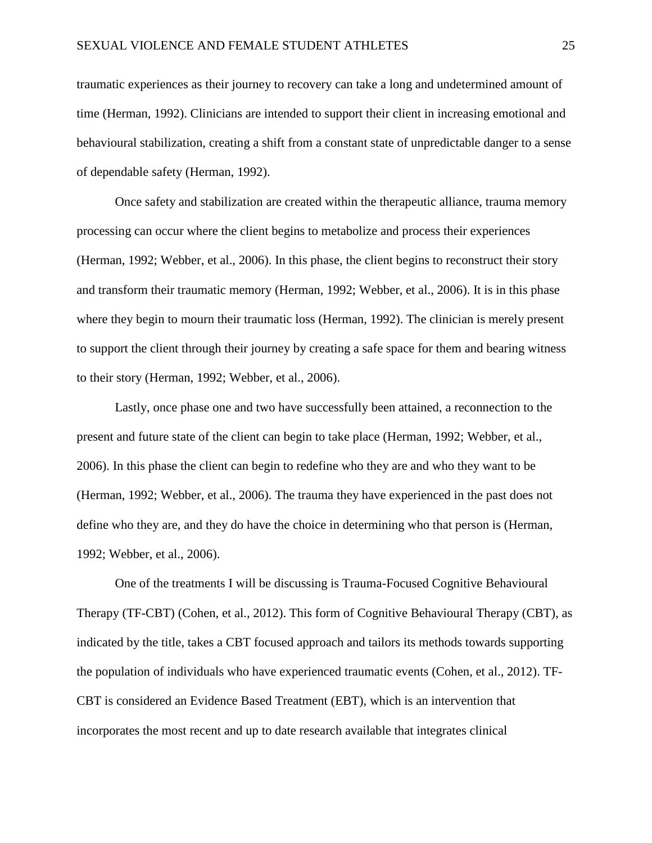traumatic experiences as their journey to recovery can take a long and undetermined amount of time (Herman, 1992). Clinicians are intended to support their client in increasing emotional and behavioural stabilization, creating a shift from a constant state of unpredictable danger to a sense of dependable safety (Herman, 1992).

Once safety and stabilization are created within the therapeutic alliance, trauma memory processing can occur where the client begins to metabolize and process their experiences (Herman, 1992; Webber, et al., 2006). In this phase, the client begins to reconstruct their story and transform their traumatic memory (Herman, 1992; Webber, et al., 2006). It is in this phase where they begin to mourn their traumatic loss (Herman, 1992). The clinician is merely present to support the client through their journey by creating a safe space for them and bearing witness to their story (Herman, 1992; Webber, et al., 2006).

Lastly, once phase one and two have successfully been attained, a reconnection to the present and future state of the client can begin to take place (Herman, 1992; Webber, et al., 2006). In this phase the client can begin to redefine who they are and who they want to be (Herman, 1992; Webber, et al., 2006). The trauma they have experienced in the past does not define who they are, and they do have the choice in determining who that person is (Herman, 1992; Webber, et al., 2006).

One of the treatments I will be discussing is Trauma-Focused Cognitive Behavioural Therapy (TF-CBT) (Cohen, et al., 2012). This form of Cognitive Behavioural Therapy (CBT), as indicated by the title, takes a CBT focused approach and tailors its methods towards supporting the population of individuals who have experienced traumatic events (Cohen, et al., 2012). TF-CBT is considered an Evidence Based Treatment (EBT), which is an intervention that incorporates the most recent and up to date research available that integrates clinical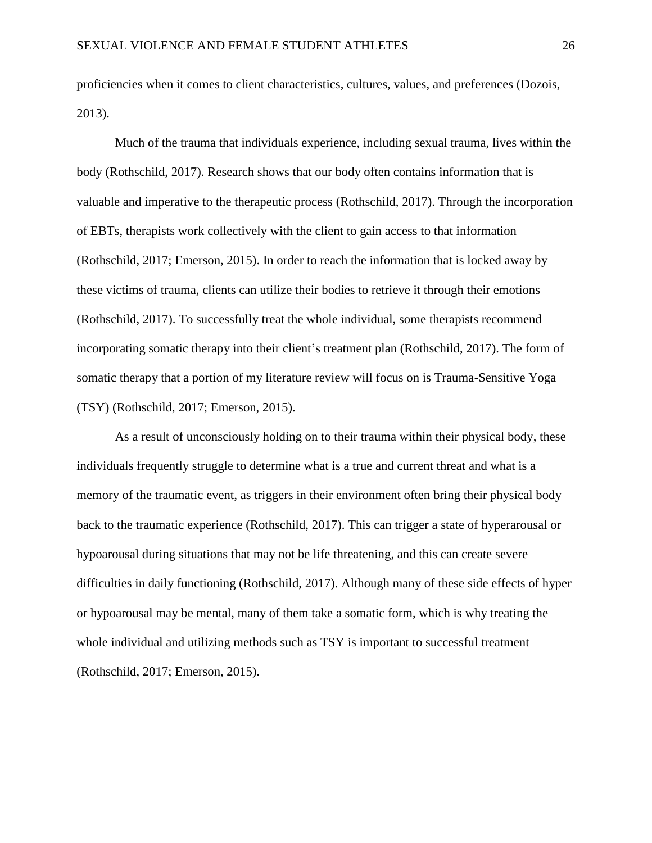proficiencies when it comes to client characteristics, cultures, values, and preferences (Dozois, 2013).

Much of the trauma that individuals experience, including sexual trauma, lives within the body (Rothschild, 2017). Research shows that our body often contains information that is valuable and imperative to the therapeutic process (Rothschild, 2017). Through the incorporation of EBTs, therapists work collectively with the client to gain access to that information (Rothschild, 2017; Emerson, 2015). In order to reach the information that is locked away by these victims of trauma, clients can utilize their bodies to retrieve it through their emotions (Rothschild, 2017). To successfully treat the whole individual, some therapists recommend incorporating somatic therapy into their client's treatment plan (Rothschild, 2017). The form of somatic therapy that a portion of my literature review will focus on is Trauma-Sensitive Yoga (TSY) (Rothschild, 2017; Emerson, 2015).

As a result of unconsciously holding on to their trauma within their physical body, these individuals frequently struggle to determine what is a true and current threat and what is a memory of the traumatic event, as triggers in their environment often bring their physical body back to the traumatic experience (Rothschild, 2017). This can trigger a state of hyperarousal or hypoarousal during situations that may not be life threatening, and this can create severe difficulties in daily functioning (Rothschild, 2017). Although many of these side effects of hyper or hypoarousal may be mental, many of them take a somatic form, which is why treating the whole individual and utilizing methods such as TSY is important to successful treatment (Rothschild, 2017; Emerson, 2015).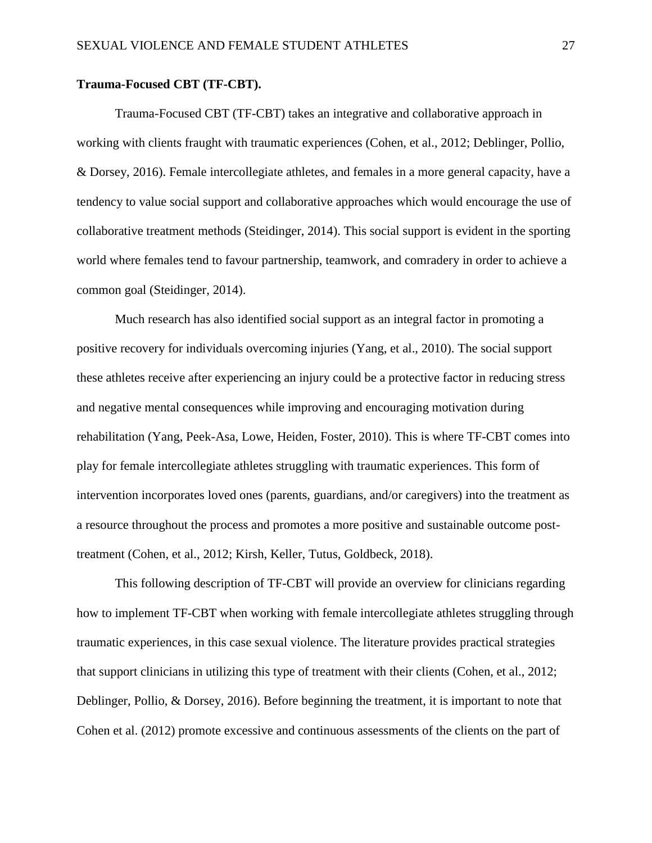#### **Trauma-Focused CBT (TF-CBT).**

Trauma-Focused CBT (TF-CBT) takes an integrative and collaborative approach in working with clients fraught with traumatic experiences (Cohen, et al., 2012; Deblinger, Pollio, & Dorsey, 2016). Female intercollegiate athletes, and females in a more general capacity, have a tendency to value social support and collaborative approaches which would encourage the use of collaborative treatment methods (Steidinger, 2014). This social support is evident in the sporting world where females tend to favour partnership, teamwork, and comradery in order to achieve a common goal (Steidinger, 2014).

Much research has also identified social support as an integral factor in promoting a positive recovery for individuals overcoming injuries (Yang, et al., 2010). The social support these athletes receive after experiencing an injury could be a protective factor in reducing stress and negative mental consequences while improving and encouraging motivation during rehabilitation (Yang, Peek-Asa, Lowe, Heiden, Foster, 2010). This is where TF-CBT comes into play for female intercollegiate athletes struggling with traumatic experiences. This form of intervention incorporates loved ones (parents, guardians, and/or caregivers) into the treatment as a resource throughout the process and promotes a more positive and sustainable outcome posttreatment (Cohen, et al., 2012; Kirsh, Keller, Tutus, Goldbeck, 2018).

This following description of TF-CBT will provide an overview for clinicians regarding how to implement TF-CBT when working with female intercollegiate athletes struggling through traumatic experiences, in this case sexual violence. The literature provides practical strategies that support clinicians in utilizing this type of treatment with their clients (Cohen, et al., 2012; Deblinger, Pollio, & Dorsey, 2016). Before beginning the treatment, it is important to note that Cohen et al. (2012) promote excessive and continuous assessments of the clients on the part of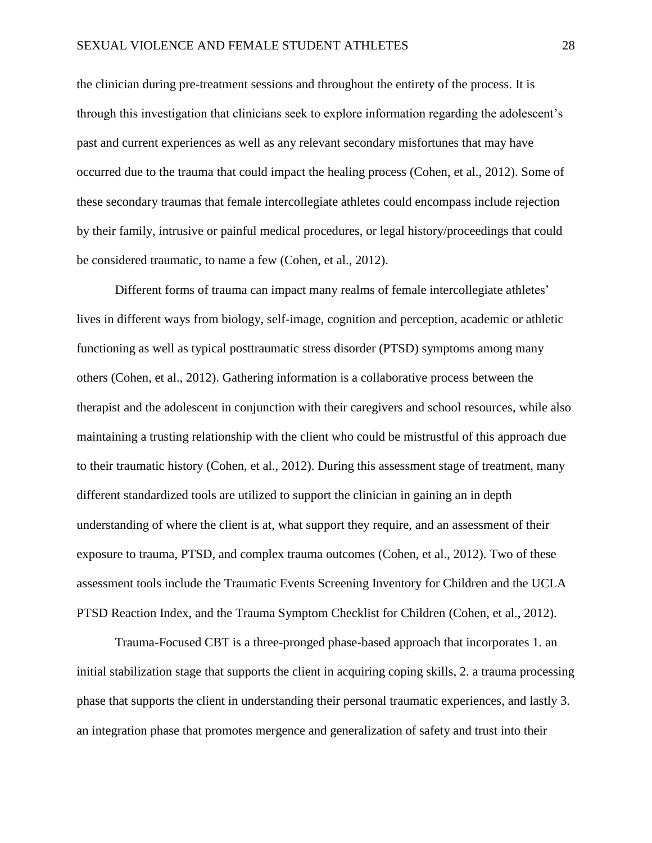the clinician during pre-treatment sessions and throughout the entirety of the process. It is through this investigation that clinicians seek to explore information regarding the adolescent's past and current experiences as well as any relevant secondary misfortunes that may have occurred due to the trauma that could impact the healing process (Cohen, et al., 2012). Some of these secondary traumas that female intercollegiate athletes could encompass include rejection by their family, intrusive or painful medical procedures, or legal history/proceedings that could be considered traumatic, to name a few (Cohen, et al., 2012).

Different forms of trauma can impact many realms of female intercollegiate athletes' lives in different ways from biology, self-image, cognition and perception, academic or athletic functioning as well as typical posttraumatic stress disorder (PTSD) symptoms among many others (Cohen, et al., 2012). Gathering information is a collaborative process between the therapist and the adolescent in conjunction with their caregivers and school resources, while also maintaining a trusting relationship with the client who could be mistrustful of this approach due to their traumatic history (Cohen, et al., 2012). During this assessment stage of treatment, many different standardized tools are utilized to support the clinician in gaining an in depth understanding of where the client is at, what support they require, and an assessment of their exposure to trauma, PTSD, and complex trauma outcomes (Cohen, et al., 2012). Two of these assessment tools include the Traumatic Events Screening Inventory for Children and the UCLA PTSD Reaction Index, and the Trauma Symptom Checklist for Children (Cohen, et al., 2012).

Trauma-Focused CBT is a three-pronged phase-based approach that incorporates 1. an initial stabilization stage that supports the client in acquiring coping skills, 2. a trauma processing phase that supports the client in understanding their personal traumatic experiences, and lastly 3. an integration phase that promotes mergence and generalization of safety and trust into their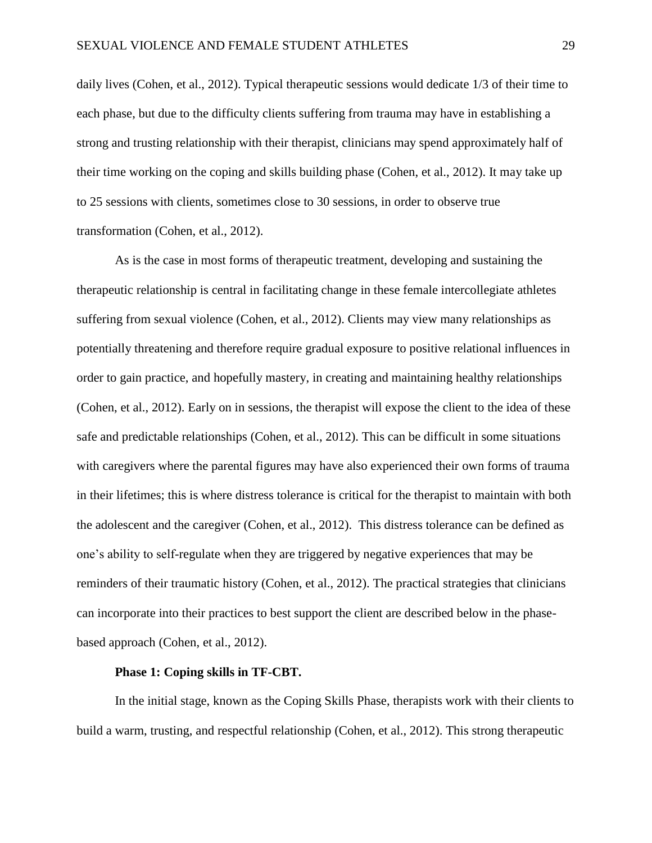daily lives (Cohen, et al., 2012). Typical therapeutic sessions would dedicate 1/3 of their time to each phase, but due to the difficulty clients suffering from trauma may have in establishing a strong and trusting relationship with their therapist, clinicians may spend approximately half of their time working on the coping and skills building phase (Cohen, et al., 2012). It may take up to 25 sessions with clients, sometimes close to 30 sessions, in order to observe true transformation (Cohen, et al., 2012).

As is the case in most forms of therapeutic treatment, developing and sustaining the therapeutic relationship is central in facilitating change in these female intercollegiate athletes suffering from sexual violence (Cohen, et al., 2012). Clients may view many relationships as potentially threatening and therefore require gradual exposure to positive relational influences in order to gain practice, and hopefully mastery, in creating and maintaining healthy relationships (Cohen, et al., 2012). Early on in sessions, the therapist will expose the client to the idea of these safe and predictable relationships (Cohen, et al., 2012). This can be difficult in some situations with caregivers where the parental figures may have also experienced their own forms of trauma in their lifetimes; this is where distress tolerance is critical for the therapist to maintain with both the adolescent and the caregiver (Cohen, et al., 2012). This distress tolerance can be defined as one's ability to self-regulate when they are triggered by negative experiences that may be reminders of their traumatic history (Cohen, et al., 2012). The practical strategies that clinicians can incorporate into their practices to best support the client are described below in the phasebased approach (Cohen, et al., 2012).

# **Phase 1: Coping skills in TF-CBT.**

In the initial stage, known as the Coping Skills Phase, therapists work with their clients to build a warm, trusting, and respectful relationship (Cohen, et al., 2012). This strong therapeutic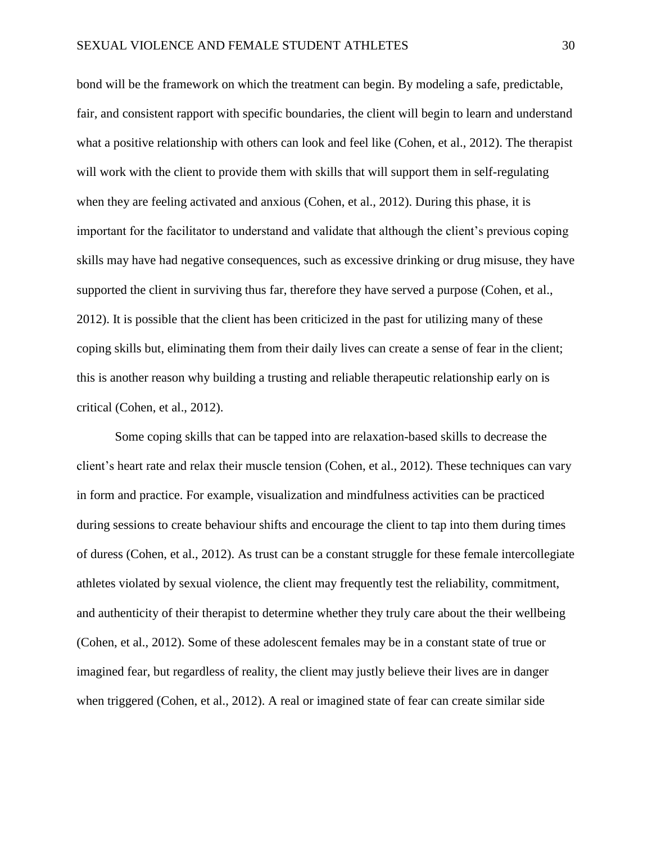bond will be the framework on which the treatment can begin. By modeling a safe, predictable, fair, and consistent rapport with specific boundaries, the client will begin to learn and understand what a positive relationship with others can look and feel like (Cohen, et al., 2012). The therapist will work with the client to provide them with skills that will support them in self-regulating when they are feeling activated and anxious (Cohen, et al., 2012). During this phase, it is important for the facilitator to understand and validate that although the client's previous coping skills may have had negative consequences, such as excessive drinking or drug misuse, they have supported the client in surviving thus far, therefore they have served a purpose (Cohen, et al., 2012). It is possible that the client has been criticized in the past for utilizing many of these coping skills but, eliminating them from their daily lives can create a sense of fear in the client; this is another reason why building a trusting and reliable therapeutic relationship early on is critical (Cohen, et al., 2012).

Some coping skills that can be tapped into are relaxation-based skills to decrease the client's heart rate and relax their muscle tension (Cohen, et al., 2012). These techniques can vary in form and practice. For example, visualization and mindfulness activities can be practiced during sessions to create behaviour shifts and encourage the client to tap into them during times of duress (Cohen, et al., 2012). As trust can be a constant struggle for these female intercollegiate athletes violated by sexual violence, the client may frequently test the reliability, commitment, and authenticity of their therapist to determine whether they truly care about the their wellbeing (Cohen, et al., 2012). Some of these adolescent females may be in a constant state of true or imagined fear, but regardless of reality, the client may justly believe their lives are in danger when triggered (Cohen, et al., 2012). A real or imagined state of fear can create similar side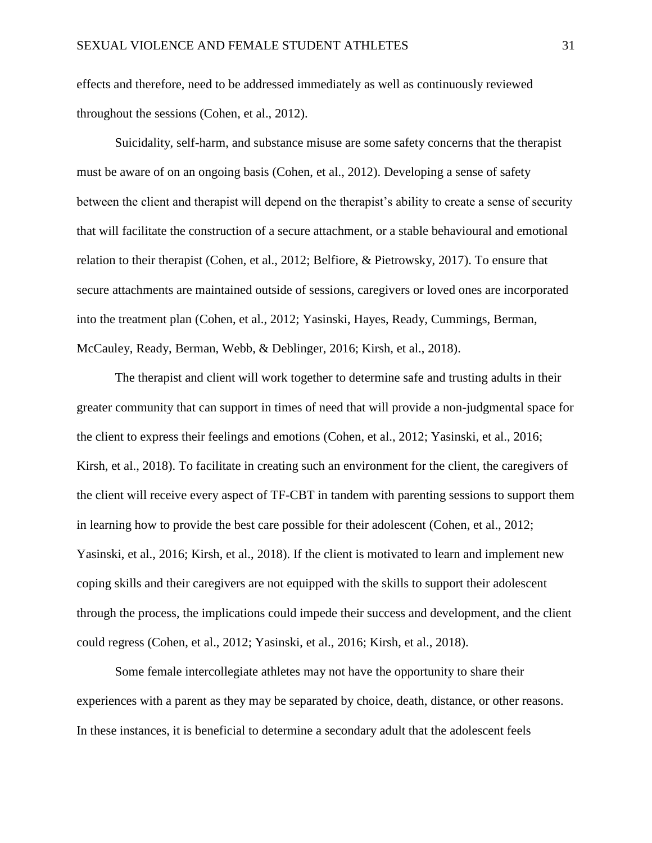effects and therefore, need to be addressed immediately as well as continuously reviewed throughout the sessions (Cohen, et al., 2012).

Suicidality, self-harm, and substance misuse are some safety concerns that the therapist must be aware of on an ongoing basis (Cohen, et al., 2012). Developing a sense of safety between the client and therapist will depend on the therapist's ability to create a sense of security that will facilitate the construction of a secure attachment, or a stable behavioural and emotional relation to their therapist (Cohen, et al., 2012; Belfiore, & Pietrowsky, 2017). To ensure that secure attachments are maintained outside of sessions, caregivers or loved ones are incorporated into the treatment plan (Cohen, et al., 2012; Yasinski, Hayes, Ready, Cummings, Berman, McCauley, Ready, Berman, Webb, & Deblinger, 2016; Kirsh, et al., 2018).

The therapist and client will work together to determine safe and trusting adults in their greater community that can support in times of need that will provide a non-judgmental space for the client to express their feelings and emotions (Cohen, et al., 2012; Yasinski, et al., 2016; Kirsh, et al., 2018). To facilitate in creating such an environment for the client, the caregivers of the client will receive every aspect of TF-CBT in tandem with parenting sessions to support them in learning how to provide the best care possible for their adolescent (Cohen, et al., 2012; Yasinski, et al., 2016; Kirsh, et al., 2018). If the client is motivated to learn and implement new coping skills and their caregivers are not equipped with the skills to support their adolescent through the process, the implications could impede their success and development, and the client could regress (Cohen, et al., 2012; Yasinski, et al., 2016; Kirsh, et al., 2018).

Some female intercollegiate athletes may not have the opportunity to share their experiences with a parent as they may be separated by choice, death, distance, or other reasons. In these instances, it is beneficial to determine a secondary adult that the adolescent feels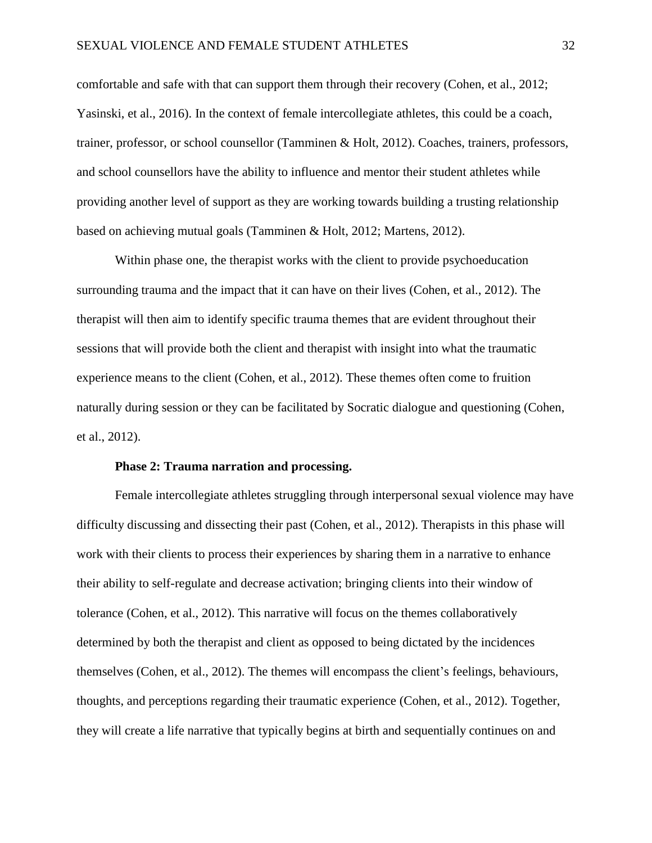comfortable and safe with that can support them through their recovery (Cohen, et al., 2012; Yasinski, et al., 2016). In the context of female intercollegiate athletes, this could be a coach, trainer, professor, or school counsellor (Tamminen & Holt, 2012). Coaches, trainers, professors, and school counsellors have the ability to influence and mentor their student athletes while providing another level of support as they are working towards building a trusting relationship based on achieving mutual goals (Tamminen & Holt, 2012; Martens, 2012).

Within phase one, the therapist works with the client to provide psychoeducation surrounding trauma and the impact that it can have on their lives (Cohen, et al., 2012). The therapist will then aim to identify specific trauma themes that are evident throughout their sessions that will provide both the client and therapist with insight into what the traumatic experience means to the client (Cohen, et al., 2012). These themes often come to fruition naturally during session or they can be facilitated by Socratic dialogue and questioning (Cohen, et al., 2012).

# **Phase 2: Trauma narration and processing.**

Female intercollegiate athletes struggling through interpersonal sexual violence may have difficulty discussing and dissecting their past (Cohen, et al., 2012). Therapists in this phase will work with their clients to process their experiences by sharing them in a narrative to enhance their ability to self-regulate and decrease activation; bringing clients into their window of tolerance (Cohen, et al., 2012). This narrative will focus on the themes collaboratively determined by both the therapist and client as opposed to being dictated by the incidences themselves (Cohen, et al., 2012). The themes will encompass the client's feelings, behaviours, thoughts, and perceptions regarding their traumatic experience (Cohen, et al., 2012). Together, they will create a life narrative that typically begins at birth and sequentially continues on and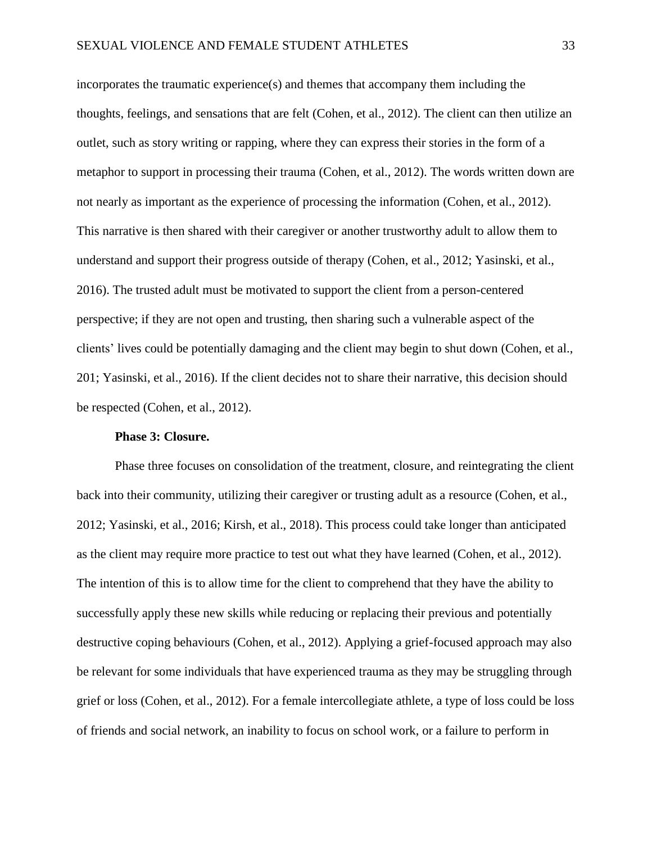incorporates the traumatic experience(s) and themes that accompany them including the thoughts, feelings, and sensations that are felt (Cohen, et al., 2012). The client can then utilize an outlet, such as story writing or rapping, where they can express their stories in the form of a metaphor to support in processing their trauma (Cohen, et al., 2012). The words written down are not nearly as important as the experience of processing the information (Cohen, et al., 2012). This narrative is then shared with their caregiver or another trustworthy adult to allow them to understand and support their progress outside of therapy (Cohen, et al., 2012; Yasinski, et al., 2016). The trusted adult must be motivated to support the client from a person-centered perspective; if they are not open and trusting, then sharing such a vulnerable aspect of the clients' lives could be potentially damaging and the client may begin to shut down (Cohen, et al., 201; Yasinski, et al., 2016). If the client decides not to share their narrative, this decision should be respected (Cohen, et al., 2012).

# **Phase 3: Closure.**

Phase three focuses on consolidation of the treatment, closure, and reintegrating the client back into their community, utilizing their caregiver or trusting adult as a resource (Cohen, et al., 2012; Yasinski, et al., 2016; Kirsh, et al., 2018). This process could take longer than anticipated as the client may require more practice to test out what they have learned (Cohen, et al., 2012). The intention of this is to allow time for the client to comprehend that they have the ability to successfully apply these new skills while reducing or replacing their previous and potentially destructive coping behaviours (Cohen, et al., 2012). Applying a grief-focused approach may also be relevant for some individuals that have experienced trauma as they may be struggling through grief or loss (Cohen, et al., 2012). For a female intercollegiate athlete, a type of loss could be loss of friends and social network, an inability to focus on school work, or a failure to perform in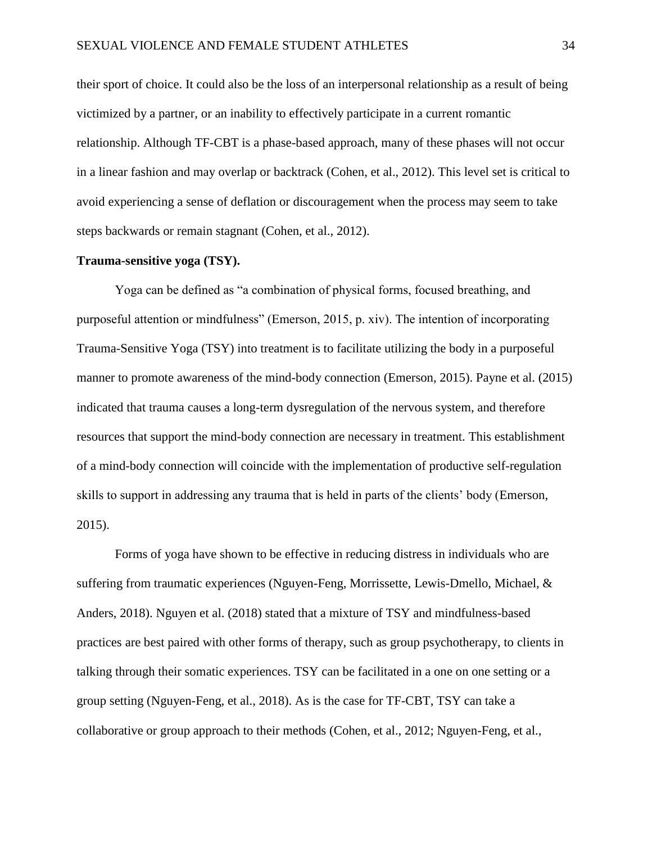their sport of choice. It could also be the loss of an interpersonal relationship as a result of being victimized by a partner, or an inability to effectively participate in a current romantic relationship. Although TF-CBT is a phase-based approach, many of these phases will not occur in a linear fashion and may overlap or backtrack (Cohen, et al., 2012). This level set is critical to avoid experiencing a sense of deflation or discouragement when the process may seem to take steps backwards or remain stagnant (Cohen, et al., 2012).

#### **Trauma-sensitive yoga (TSY).**

Yoga can be defined as "a combination of physical forms, focused breathing, and purposeful attention or mindfulness" (Emerson, 2015, p. xiv). The intention of incorporating Trauma-Sensitive Yoga (TSY) into treatment is to facilitate utilizing the body in a purposeful manner to promote awareness of the mind-body connection (Emerson, 2015). Payne et al. (2015) indicated that trauma causes a long-term dysregulation of the nervous system, and therefore resources that support the mind-body connection are necessary in treatment. This establishment of a mind-body connection will coincide with the implementation of productive self-regulation skills to support in addressing any trauma that is held in parts of the clients' body (Emerson, 2015).

Forms of yoga have shown to be effective in reducing distress in individuals who are suffering from traumatic experiences (Nguyen-Feng, Morrissette, Lewis-Dmello, Michael, & Anders, 2018). Nguyen et al. (2018) stated that a mixture of TSY and mindfulness-based practices are best paired with other forms of therapy, such as group psychotherapy, to clients in talking through their somatic experiences. TSY can be facilitated in a one on one setting or a group setting (Nguyen-Feng, et al., 2018). As is the case for TF-CBT, TSY can take a collaborative or group approach to their methods (Cohen, et al., 2012; Nguyen-Feng, et al.,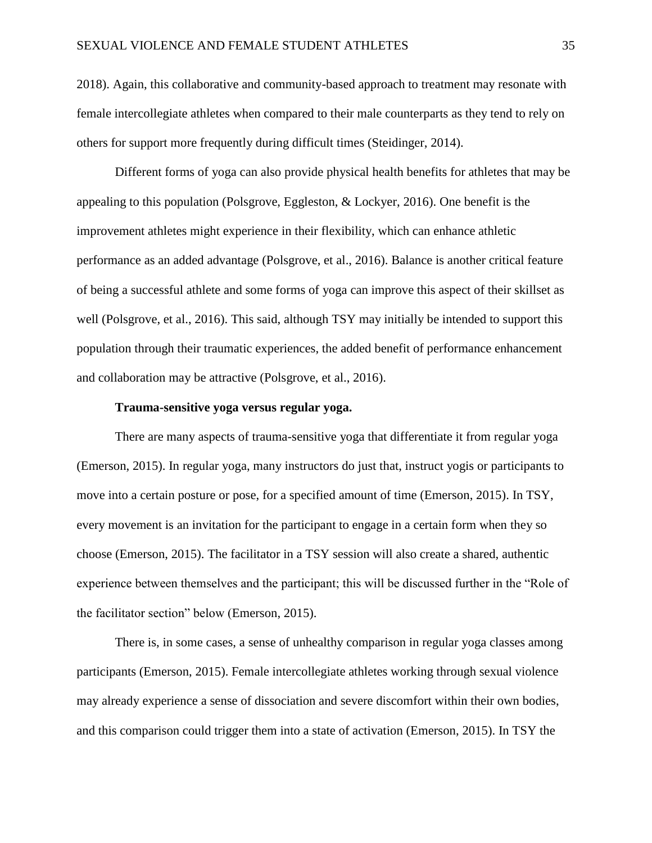2018). Again, this collaborative and community-based approach to treatment may resonate with female intercollegiate athletes when compared to their male counterparts as they tend to rely on others for support more frequently during difficult times (Steidinger, 2014).

Different forms of yoga can also provide physical health benefits for athletes that may be appealing to this population (Polsgrove, Eggleston, & Lockyer, 2016). One benefit is the improvement athletes might experience in their flexibility, which can enhance athletic performance as an added advantage (Polsgrove, et al., 2016). Balance is another critical feature of being a successful athlete and some forms of yoga can improve this aspect of their skillset as well (Polsgrove, et al., 2016). This said, although TSY may initially be intended to support this population through their traumatic experiences, the added benefit of performance enhancement and collaboration may be attractive (Polsgrove, et al., 2016).

# **Trauma-sensitive yoga versus regular yoga.**

There are many aspects of trauma-sensitive yoga that differentiate it from regular yoga (Emerson, 2015). In regular yoga, many instructors do just that, instruct yogis or participants to move into a certain posture or pose, for a specified amount of time (Emerson, 2015). In TSY, every movement is an invitation for the participant to engage in a certain form when they so choose (Emerson, 2015). The facilitator in a TSY session will also create a shared, authentic experience between themselves and the participant; this will be discussed further in the "Role of the facilitator section" below (Emerson, 2015).

There is, in some cases, a sense of unhealthy comparison in regular yoga classes among participants (Emerson, 2015). Female intercollegiate athletes working through sexual violence may already experience a sense of dissociation and severe discomfort within their own bodies, and this comparison could trigger them into a state of activation (Emerson, 2015). In TSY the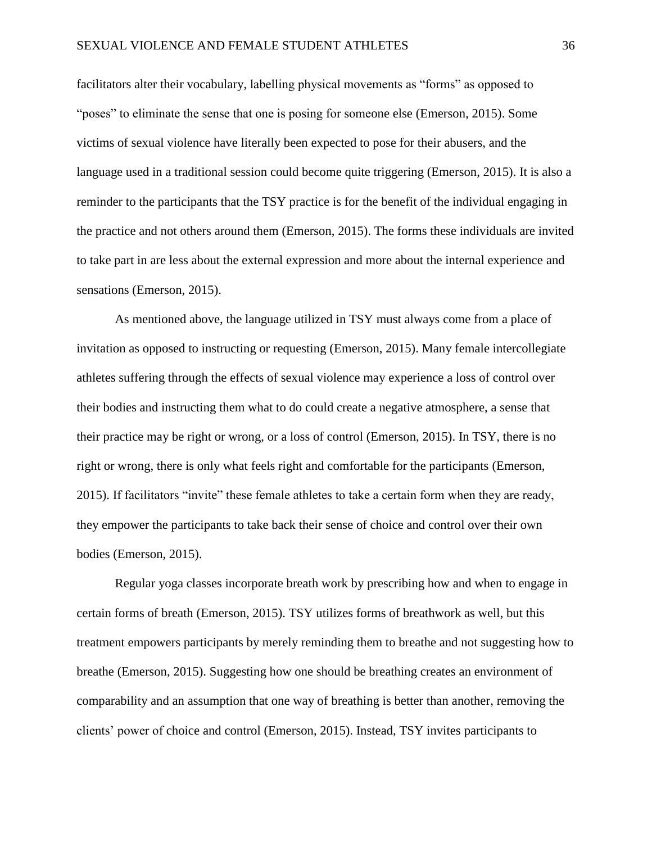facilitators alter their vocabulary, labelling physical movements as "forms" as opposed to "poses" to eliminate the sense that one is posing for someone else (Emerson, 2015). Some victims of sexual violence have literally been expected to pose for their abusers, and the language used in a traditional session could become quite triggering (Emerson, 2015). It is also a reminder to the participants that the TSY practice is for the benefit of the individual engaging in the practice and not others around them (Emerson, 2015). The forms these individuals are invited to take part in are less about the external expression and more about the internal experience and sensations (Emerson, 2015).

As mentioned above, the language utilized in TSY must always come from a place of invitation as opposed to instructing or requesting (Emerson, 2015). Many female intercollegiate athletes suffering through the effects of sexual violence may experience a loss of control over their bodies and instructing them what to do could create a negative atmosphere, a sense that their practice may be right or wrong, or a loss of control (Emerson, 2015). In TSY, there is no right or wrong, there is only what feels right and comfortable for the participants (Emerson, 2015). If facilitators "invite" these female athletes to take a certain form when they are ready, they empower the participants to take back their sense of choice and control over their own bodies (Emerson, 2015).

Regular yoga classes incorporate breath work by prescribing how and when to engage in certain forms of breath (Emerson, 2015). TSY utilizes forms of breathwork as well, but this treatment empowers participants by merely reminding them to breathe and not suggesting how to breathe (Emerson, 2015). Suggesting how one should be breathing creates an environment of comparability and an assumption that one way of breathing is better than another, removing the clients' power of choice and control (Emerson, 2015). Instead, TSY invites participants to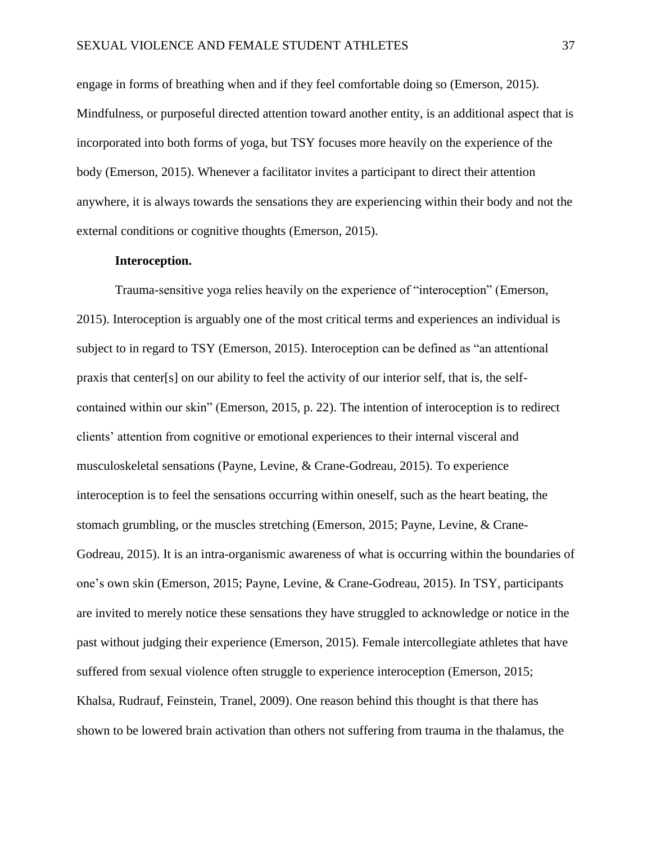engage in forms of breathing when and if they feel comfortable doing so (Emerson, 2015). Mindfulness, or purposeful directed attention toward another entity, is an additional aspect that is incorporated into both forms of yoga, but TSY focuses more heavily on the experience of the body (Emerson, 2015). Whenever a facilitator invites a participant to direct their attention anywhere, it is always towards the sensations they are experiencing within their body and not the external conditions or cognitive thoughts (Emerson, 2015).

#### **Interoception.**

Trauma-sensitive yoga relies heavily on the experience of "interoception" (Emerson, 2015). Interoception is arguably one of the most critical terms and experiences an individual is subject to in regard to TSY (Emerson, 2015). Interoception can be defined as "an attentional praxis that center[s] on our ability to feel the activity of our interior self, that is, the selfcontained within our skin" (Emerson, 2015, p. 22). The intention of interoception is to redirect clients' attention from cognitive or emotional experiences to their internal visceral and musculoskeletal sensations (Payne, Levine, & Crane-Godreau, 2015). To experience interoception is to feel the sensations occurring within oneself, such as the heart beating, the stomach grumbling, or the muscles stretching (Emerson, 2015; Payne, Levine, & Crane-Godreau, 2015). It is an intra-organismic awareness of what is occurring within the boundaries of one's own skin (Emerson, 2015; Payne, Levine, & Crane-Godreau, 2015). In TSY, participants are invited to merely notice these sensations they have struggled to acknowledge or notice in the past without judging their experience (Emerson, 2015). Female intercollegiate athletes that have suffered from sexual violence often struggle to experience interoception (Emerson, 2015; Khalsa, Rudrauf, Feinstein, Tranel, 2009). One reason behind this thought is that there has shown to be lowered brain activation than others not suffering from trauma in the thalamus, the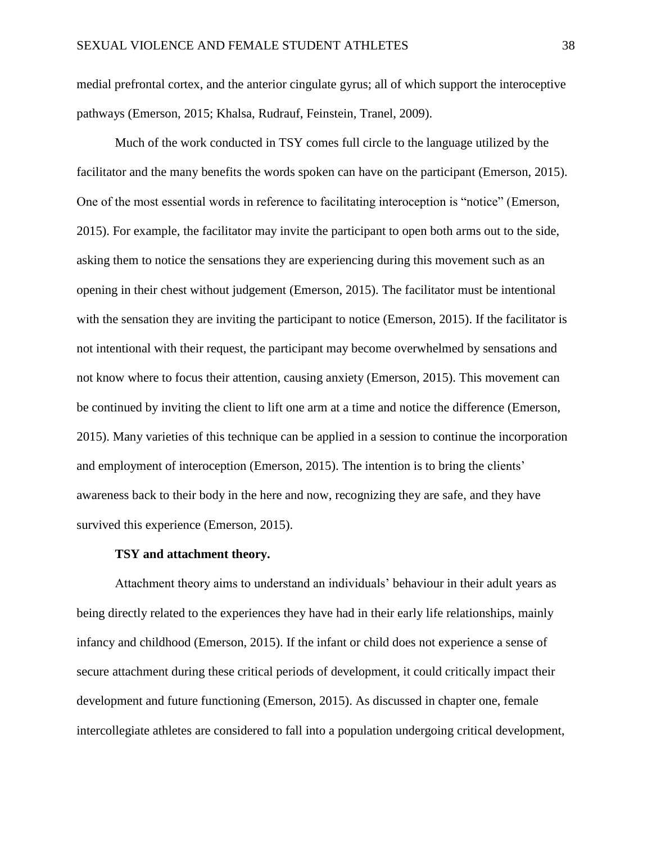medial prefrontal cortex, and the anterior cingulate gyrus; all of which support the interoceptive pathways (Emerson, 2015; Khalsa, Rudrauf, Feinstein, Tranel, 2009).

Much of the work conducted in TSY comes full circle to the language utilized by the facilitator and the many benefits the words spoken can have on the participant (Emerson, 2015). One of the most essential words in reference to facilitating interoception is "notice" (Emerson, 2015). For example, the facilitator may invite the participant to open both arms out to the side, asking them to notice the sensations they are experiencing during this movement such as an opening in their chest without judgement (Emerson, 2015). The facilitator must be intentional with the sensation they are inviting the participant to notice (Emerson, 2015). If the facilitator is not intentional with their request, the participant may become overwhelmed by sensations and not know where to focus their attention, causing anxiety (Emerson, 2015). This movement can be continued by inviting the client to lift one arm at a time and notice the difference (Emerson, 2015). Many varieties of this technique can be applied in a session to continue the incorporation and employment of interoception (Emerson, 2015). The intention is to bring the clients' awareness back to their body in the here and now, recognizing they are safe, and they have survived this experience (Emerson, 2015).

# **TSY and attachment theory.**

Attachment theory aims to understand an individuals' behaviour in their adult years as being directly related to the experiences they have had in their early life relationships, mainly infancy and childhood (Emerson, 2015). If the infant or child does not experience a sense of secure attachment during these critical periods of development, it could critically impact their development and future functioning (Emerson, 2015). As discussed in chapter one, female intercollegiate athletes are considered to fall into a population undergoing critical development,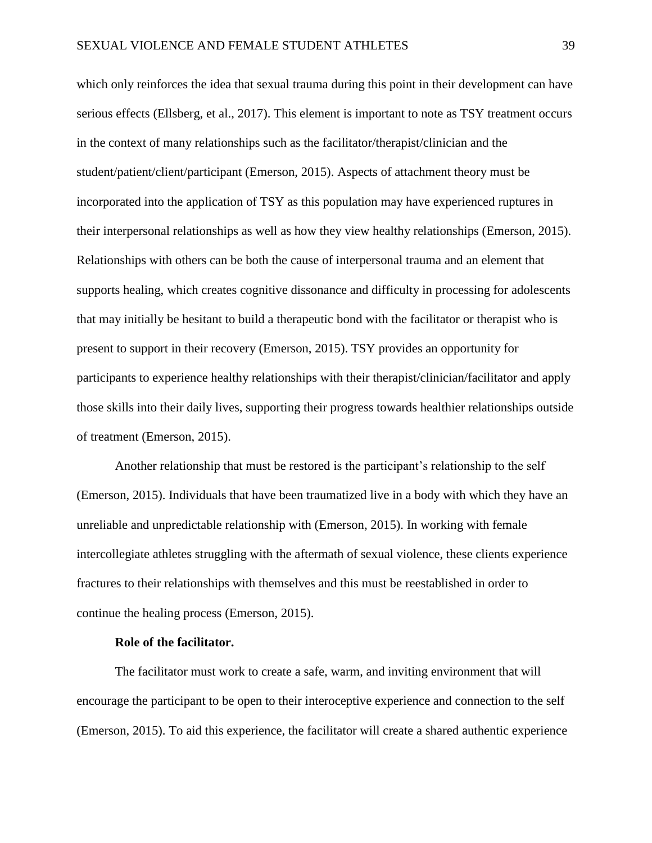which only reinforces the idea that sexual trauma during this point in their development can have serious effects (Ellsberg, et al., 2017). This element is important to note as TSY treatment occurs in the context of many relationships such as the facilitator/therapist/clinician and the student/patient/client/participant (Emerson, 2015). Aspects of attachment theory must be incorporated into the application of TSY as this population may have experienced ruptures in their interpersonal relationships as well as how they view healthy relationships (Emerson, 2015). Relationships with others can be both the cause of interpersonal trauma and an element that supports healing, which creates cognitive dissonance and difficulty in processing for adolescents that may initially be hesitant to build a therapeutic bond with the facilitator or therapist who is present to support in their recovery (Emerson, 2015). TSY provides an opportunity for participants to experience healthy relationships with their therapist/clinician/facilitator and apply those skills into their daily lives, supporting their progress towards healthier relationships outside of treatment (Emerson, 2015).

Another relationship that must be restored is the participant's relationship to the self (Emerson, 2015). Individuals that have been traumatized live in a body with which they have an unreliable and unpredictable relationship with (Emerson, 2015). In working with female intercollegiate athletes struggling with the aftermath of sexual violence, these clients experience fractures to their relationships with themselves and this must be reestablished in order to continue the healing process (Emerson, 2015).

# **Role of the facilitator.**

The facilitator must work to create a safe, warm, and inviting environment that will encourage the participant to be open to their interoceptive experience and connection to the self (Emerson, 2015). To aid this experience, the facilitator will create a shared authentic experience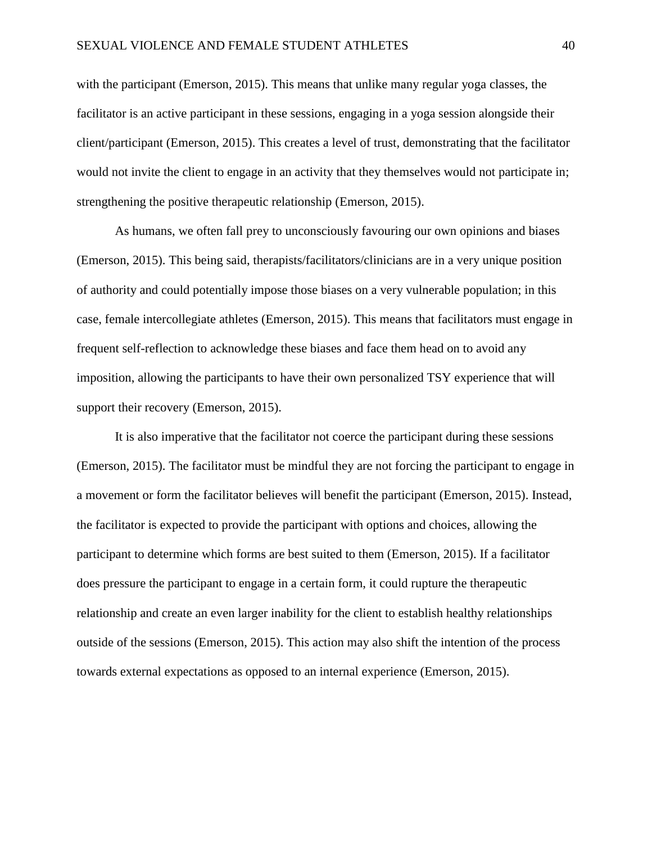with the participant (Emerson, 2015). This means that unlike many regular yoga classes, the facilitator is an active participant in these sessions, engaging in a yoga session alongside their client/participant (Emerson, 2015). This creates a level of trust, demonstrating that the facilitator would not invite the client to engage in an activity that they themselves would not participate in; strengthening the positive therapeutic relationship (Emerson, 2015).

As humans, we often fall prey to unconsciously favouring our own opinions and biases (Emerson, 2015). This being said, therapists/facilitators/clinicians are in a very unique position of authority and could potentially impose those biases on a very vulnerable population; in this case, female intercollegiate athletes (Emerson, 2015). This means that facilitators must engage in frequent self-reflection to acknowledge these biases and face them head on to avoid any imposition, allowing the participants to have their own personalized TSY experience that will support their recovery (Emerson, 2015).

It is also imperative that the facilitator not coerce the participant during these sessions (Emerson, 2015). The facilitator must be mindful they are not forcing the participant to engage in a movement or form the facilitator believes will benefit the participant (Emerson, 2015). Instead, the facilitator is expected to provide the participant with options and choices, allowing the participant to determine which forms are best suited to them (Emerson, 2015). If a facilitator does pressure the participant to engage in a certain form, it could rupture the therapeutic relationship and create an even larger inability for the client to establish healthy relationships outside of the sessions (Emerson, 2015). This action may also shift the intention of the process towards external expectations as opposed to an internal experience (Emerson, 2015).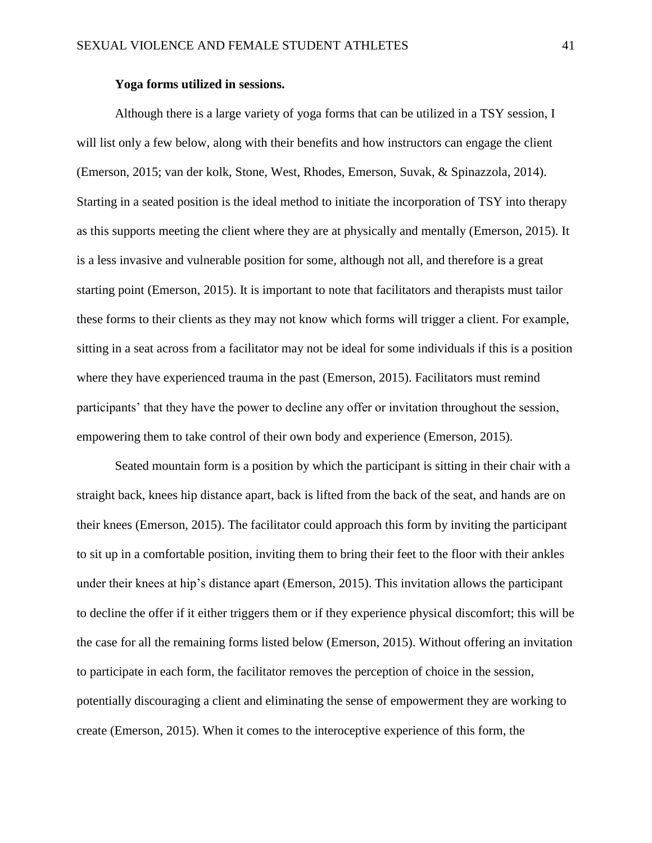# **Yoga forms utilized in sessions.**

Although there is a large variety of yoga forms that can be utilized in a TSY session, I will list only a few below, along with their benefits and how instructors can engage the client (Emerson, 2015; van der kolk, Stone, West, Rhodes, Emerson, Suvak, & Spinazzola, 2014). Starting in a seated position is the ideal method to initiate the incorporation of TSY into therapy as this supports meeting the client where they are at physically and mentally (Emerson, 2015). It is a less invasive and vulnerable position for some, although not all, and therefore is a great starting point (Emerson, 2015). It is important to note that facilitators and therapists must tailor these forms to their clients as they may not know which forms will trigger a client. For example, sitting in a seat across from a facilitator may not be ideal for some individuals if this is a position where they have experienced trauma in the past (Emerson, 2015). Facilitators must remind participants' that they have the power to decline any offer or invitation throughout the session, empowering them to take control of their own body and experience (Emerson, 2015).

Seated mountain form is a position by which the participant is sitting in their chair with a straight back, knees hip distance apart, back is lifted from the back of the seat, and hands are on their knees (Emerson, 2015). The facilitator could approach this form by inviting the participant to sit up in a comfortable position, inviting them to bring their feet to the floor with their ankles under their knees at hip's distance apart (Emerson, 2015). This invitation allows the participant to decline the offer if it either triggers them or if they experience physical discomfort; this will be the case for all the remaining forms listed below (Emerson, 2015). Without offering an invitation to participate in each form, the facilitator removes the perception of choice in the session, potentially discouraging a client and eliminating the sense of empowerment they are working to create (Emerson, 2015). When it comes to the interoceptive experience of this form, the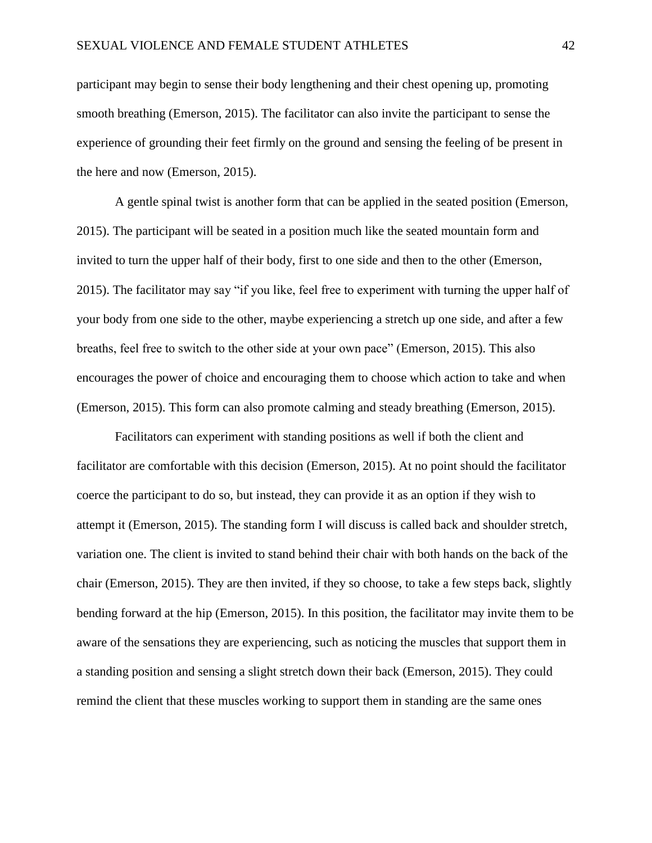participant may begin to sense their body lengthening and their chest opening up, promoting smooth breathing (Emerson, 2015). The facilitator can also invite the participant to sense the experience of grounding their feet firmly on the ground and sensing the feeling of be present in the here and now (Emerson, 2015).

A gentle spinal twist is another form that can be applied in the seated position (Emerson, 2015). The participant will be seated in a position much like the seated mountain form and invited to turn the upper half of their body, first to one side and then to the other (Emerson, 2015). The facilitator may say "if you like, feel free to experiment with turning the upper half of your body from one side to the other, maybe experiencing a stretch up one side, and after a few breaths, feel free to switch to the other side at your own pace" (Emerson, 2015). This also encourages the power of choice and encouraging them to choose which action to take and when (Emerson, 2015). This form can also promote calming and steady breathing (Emerson, 2015).

Facilitators can experiment with standing positions as well if both the client and facilitator are comfortable with this decision (Emerson, 2015). At no point should the facilitator coerce the participant to do so, but instead, they can provide it as an option if they wish to attempt it (Emerson, 2015). The standing form I will discuss is called back and shoulder stretch, variation one. The client is invited to stand behind their chair with both hands on the back of the chair (Emerson, 2015). They are then invited, if they so choose, to take a few steps back, slightly bending forward at the hip (Emerson, 2015). In this position, the facilitator may invite them to be aware of the sensations they are experiencing, such as noticing the muscles that support them in a standing position and sensing a slight stretch down their back (Emerson, 2015). They could remind the client that these muscles working to support them in standing are the same ones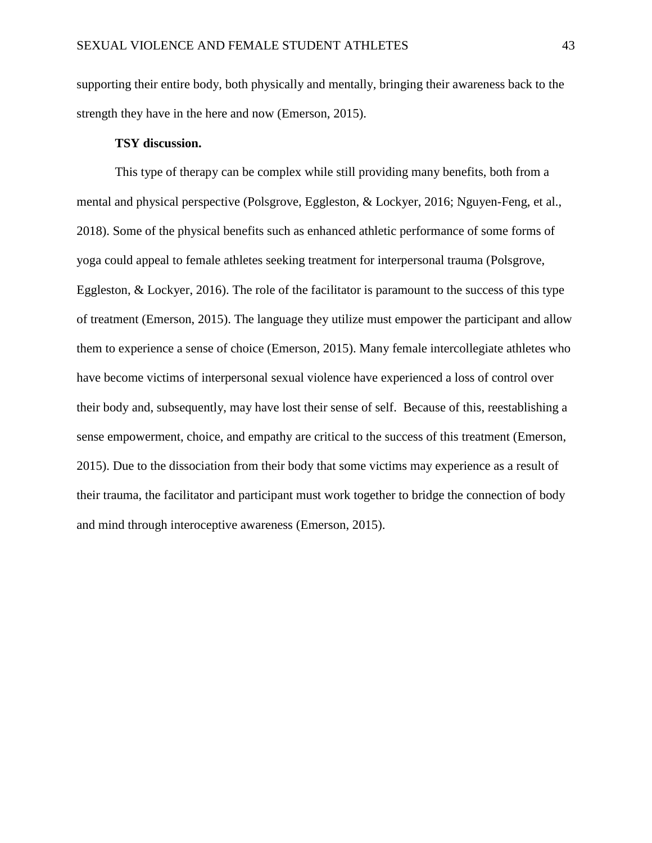supporting their entire body, both physically and mentally, bringing their awareness back to the strength they have in the here and now (Emerson, 2015).

# **TSY discussion.**

This type of therapy can be complex while still providing many benefits, both from a mental and physical perspective (Polsgrove, Eggleston, & Lockyer, 2016; Nguyen-Feng, et al., 2018). Some of the physical benefits such as enhanced athletic performance of some forms of yoga could appeal to female athletes seeking treatment for interpersonal trauma (Polsgrove, Eggleston, & Lockyer, 2016). The role of the facilitator is paramount to the success of this type of treatment (Emerson, 2015). The language they utilize must empower the participant and allow them to experience a sense of choice (Emerson, 2015). Many female intercollegiate athletes who have become victims of interpersonal sexual violence have experienced a loss of control over their body and, subsequently, may have lost their sense of self. Because of this, reestablishing a sense empowerment, choice, and empathy are critical to the success of this treatment (Emerson, 2015). Due to the dissociation from their body that some victims may experience as a result of their trauma, the facilitator and participant must work together to bridge the connection of body and mind through interoceptive awareness (Emerson, 2015).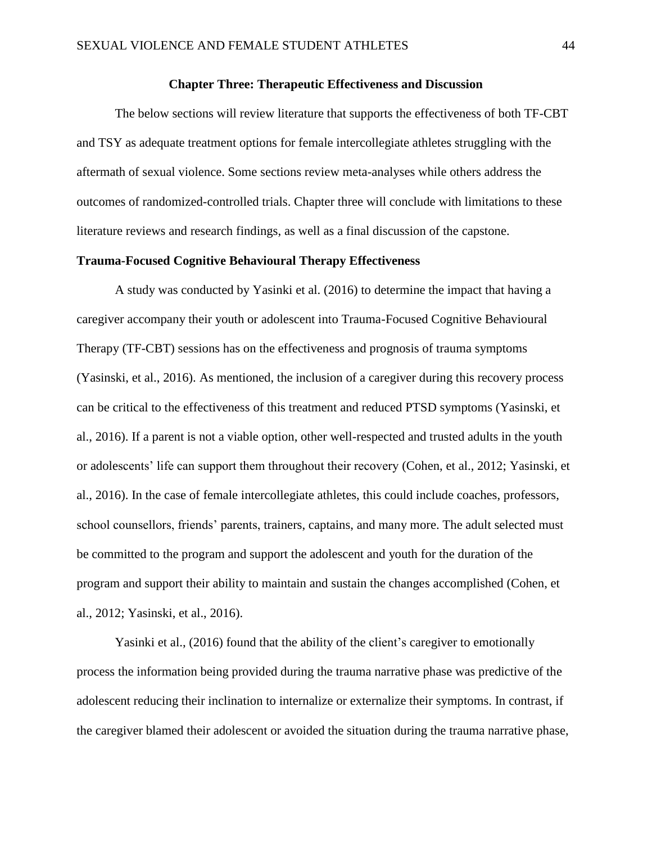### **Chapter Three: Therapeutic Effectiveness and Discussion**

The below sections will review literature that supports the effectiveness of both TF-CBT and TSY as adequate treatment options for female intercollegiate athletes struggling with the aftermath of sexual violence. Some sections review meta-analyses while others address the outcomes of randomized-controlled trials. Chapter three will conclude with limitations to these literature reviews and research findings, as well as a final discussion of the capstone.

#### **Trauma-Focused Cognitive Behavioural Therapy Effectiveness**

A study was conducted by Yasinki et al. (2016) to determine the impact that having a caregiver accompany their youth or adolescent into Trauma-Focused Cognitive Behavioural Therapy (TF-CBT) sessions has on the effectiveness and prognosis of trauma symptoms (Yasinski, et al., 2016). As mentioned, the inclusion of a caregiver during this recovery process can be critical to the effectiveness of this treatment and reduced PTSD symptoms (Yasinski, et al., 2016). If a parent is not a viable option, other well-respected and trusted adults in the youth or adolescents' life can support them throughout their recovery (Cohen, et al., 2012; Yasinski, et al., 2016). In the case of female intercollegiate athletes, this could include coaches, professors, school counsellors, friends' parents, trainers, captains, and many more. The adult selected must be committed to the program and support the adolescent and youth for the duration of the program and support their ability to maintain and sustain the changes accomplished (Cohen, et al., 2012; Yasinski, et al., 2016).

Yasinki et al., (2016) found that the ability of the client's caregiver to emotionally process the information being provided during the trauma narrative phase was predictive of the adolescent reducing their inclination to internalize or externalize their symptoms. In contrast, if the caregiver blamed their adolescent or avoided the situation during the trauma narrative phase,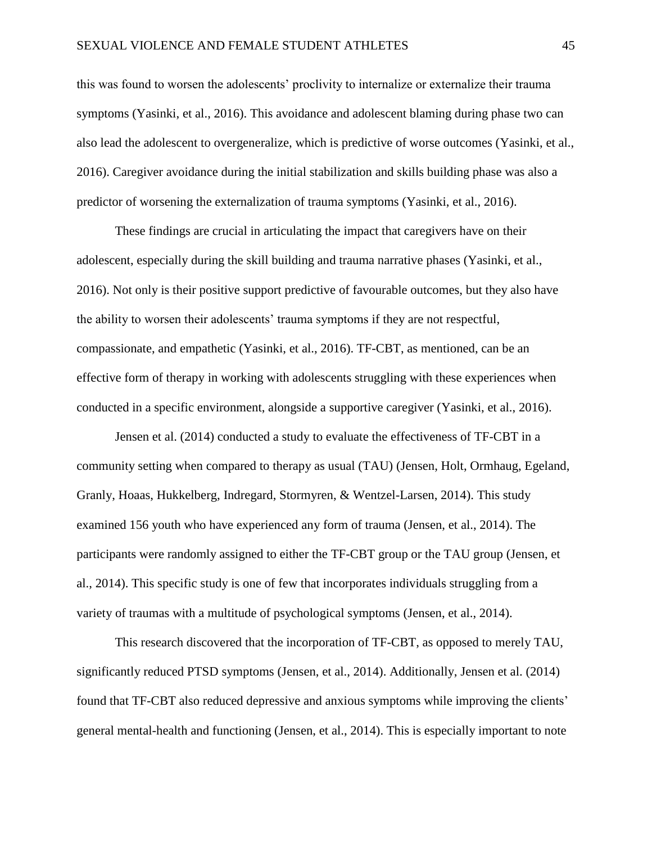this was found to worsen the adolescents' proclivity to internalize or externalize their trauma symptoms (Yasinki, et al., 2016). This avoidance and adolescent blaming during phase two can also lead the adolescent to overgeneralize, which is predictive of worse outcomes (Yasinki, et al., 2016). Caregiver avoidance during the initial stabilization and skills building phase was also a predictor of worsening the externalization of trauma symptoms (Yasinki, et al., 2016).

These findings are crucial in articulating the impact that caregivers have on their adolescent, especially during the skill building and trauma narrative phases (Yasinki, et al., 2016). Not only is their positive support predictive of favourable outcomes, but they also have the ability to worsen their adolescents' trauma symptoms if they are not respectful, compassionate, and empathetic (Yasinki, et al., 2016). TF-CBT, as mentioned, can be an effective form of therapy in working with adolescents struggling with these experiences when conducted in a specific environment, alongside a supportive caregiver (Yasinki, et al., 2016).

Jensen et al. (2014) conducted a study to evaluate the effectiveness of TF-CBT in a community setting when compared to therapy as usual (TAU) (Jensen, Holt, Ormhaug, Egeland, Granly, Hoaas, Hukkelberg, Indregard, Stormyren, & Wentzel-Larsen, 2014). This study examined 156 youth who have experienced any form of trauma (Jensen, et al., 2014). The participants were randomly assigned to either the TF-CBT group or the TAU group (Jensen, et al., 2014). This specific study is one of few that incorporates individuals struggling from a variety of traumas with a multitude of psychological symptoms (Jensen, et al., 2014).

This research discovered that the incorporation of TF-CBT, as opposed to merely TAU, significantly reduced PTSD symptoms (Jensen, et al., 2014). Additionally, Jensen et al. (2014) found that TF-CBT also reduced depressive and anxious symptoms while improving the clients' general mental-health and functioning (Jensen, et al., 2014). This is especially important to note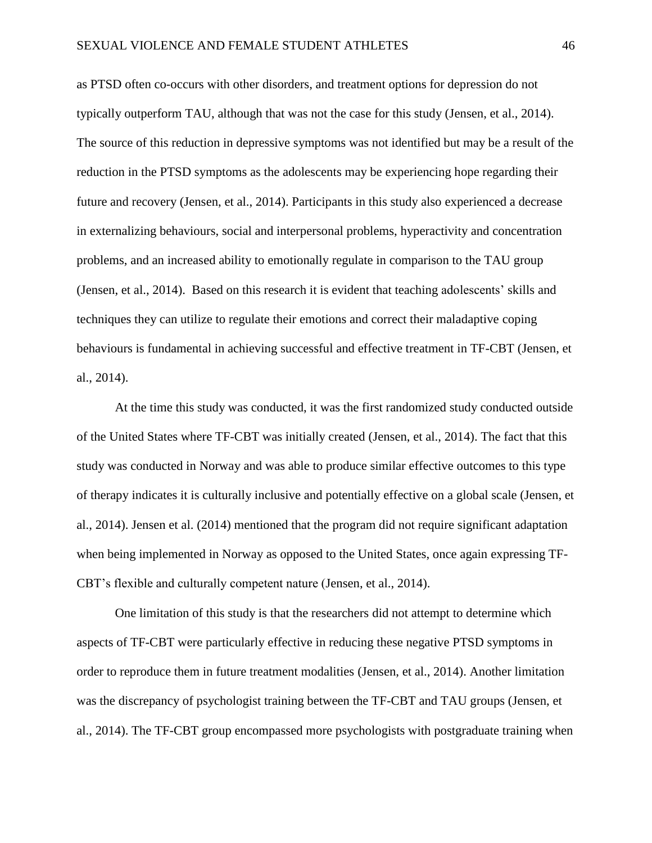as PTSD often co-occurs with other disorders, and treatment options for depression do not typically outperform TAU, although that was not the case for this study (Jensen, et al., 2014). The source of this reduction in depressive symptoms was not identified but may be a result of the reduction in the PTSD symptoms as the adolescents may be experiencing hope regarding their future and recovery (Jensen, et al., 2014). Participants in this study also experienced a decrease in externalizing behaviours, social and interpersonal problems, hyperactivity and concentration problems, and an increased ability to emotionally regulate in comparison to the TAU group (Jensen, et al., 2014). Based on this research it is evident that teaching adolescents' skills and techniques they can utilize to regulate their emotions and correct their maladaptive coping behaviours is fundamental in achieving successful and effective treatment in TF-CBT (Jensen, et al., 2014).

At the time this study was conducted, it was the first randomized study conducted outside of the United States where TF-CBT was initially created (Jensen, et al., 2014). The fact that this study was conducted in Norway and was able to produce similar effective outcomes to this type of therapy indicates it is culturally inclusive and potentially effective on a global scale (Jensen, et al., 2014). Jensen et al. (2014) mentioned that the program did not require significant adaptation when being implemented in Norway as opposed to the United States, once again expressing TF-CBT's flexible and culturally competent nature (Jensen, et al., 2014).

One limitation of this study is that the researchers did not attempt to determine which aspects of TF-CBT were particularly effective in reducing these negative PTSD symptoms in order to reproduce them in future treatment modalities (Jensen, et al., 2014). Another limitation was the discrepancy of psychologist training between the TF-CBT and TAU groups (Jensen, et al., 2014). The TF-CBT group encompassed more psychologists with postgraduate training when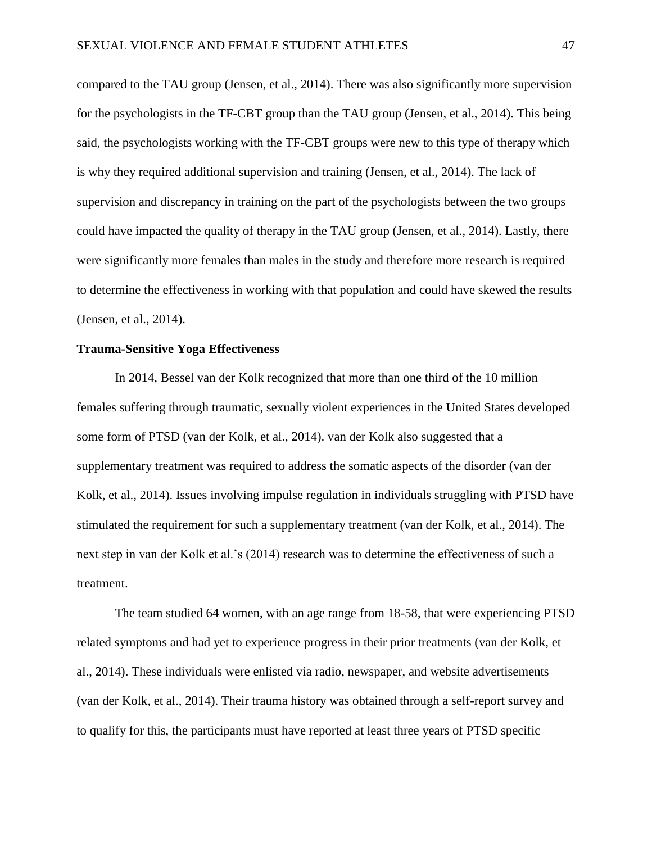compared to the TAU group (Jensen, et al., 2014). There was also significantly more supervision for the psychologists in the TF-CBT group than the TAU group (Jensen, et al., 2014). This being said, the psychologists working with the TF-CBT groups were new to this type of therapy which is why they required additional supervision and training (Jensen, et al., 2014). The lack of supervision and discrepancy in training on the part of the psychologists between the two groups could have impacted the quality of therapy in the TAU group (Jensen, et al., 2014). Lastly, there were significantly more females than males in the study and therefore more research is required to determine the effectiveness in working with that population and could have skewed the results (Jensen, et al., 2014).

# **Trauma-Sensitive Yoga Effectiveness**

In 2014, Bessel van der Kolk recognized that more than one third of the 10 million females suffering through traumatic, sexually violent experiences in the United States developed some form of PTSD (van der Kolk, et al., 2014). van der Kolk also suggested that a supplementary treatment was required to address the somatic aspects of the disorder (van der Kolk, et al., 2014). Issues involving impulse regulation in individuals struggling with PTSD have stimulated the requirement for such a supplementary treatment (van der Kolk, et al., 2014). The next step in van der Kolk et al.'s (2014) research was to determine the effectiveness of such a treatment.

The team studied 64 women, with an age range from 18-58, that were experiencing PTSD related symptoms and had yet to experience progress in their prior treatments (van der Kolk, et al., 2014). These individuals were enlisted via radio, newspaper, and website advertisements (van der Kolk, et al., 2014). Their trauma history was obtained through a self-report survey and to qualify for this, the participants must have reported at least three years of PTSD specific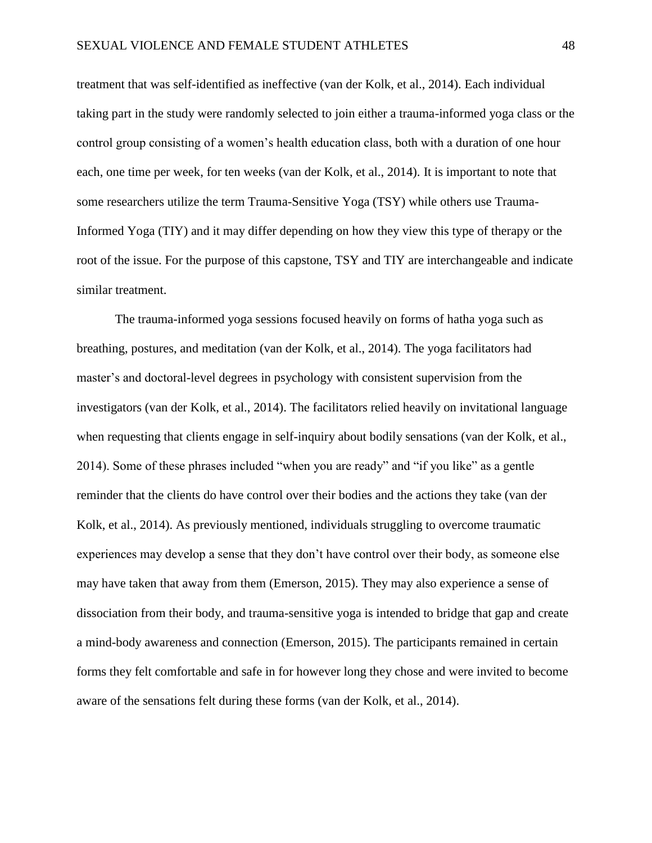treatment that was self-identified as ineffective (van der Kolk, et al., 2014). Each individual taking part in the study were randomly selected to join either a trauma-informed yoga class or the control group consisting of a women's health education class, both with a duration of one hour each, one time per week, for ten weeks (van der Kolk, et al., 2014). It is important to note that some researchers utilize the term Trauma-Sensitive Yoga (TSY) while others use Trauma-Informed Yoga (TIY) and it may differ depending on how they view this type of therapy or the root of the issue. For the purpose of this capstone, TSY and TIY are interchangeable and indicate similar treatment.

The trauma-informed yoga sessions focused heavily on forms of hatha yoga such as breathing, postures, and meditation (van der Kolk, et al., 2014). The yoga facilitators had master's and doctoral-level degrees in psychology with consistent supervision from the investigators (van der Kolk, et al., 2014). The facilitators relied heavily on invitational language when requesting that clients engage in self-inquiry about bodily sensations (van der Kolk, et al., 2014). Some of these phrases included "when you are ready" and "if you like" as a gentle reminder that the clients do have control over their bodies and the actions they take (van der Kolk, et al., 2014). As previously mentioned, individuals struggling to overcome traumatic experiences may develop a sense that they don't have control over their body, as someone else may have taken that away from them (Emerson, 2015). They may also experience a sense of dissociation from their body, and trauma-sensitive yoga is intended to bridge that gap and create a mind-body awareness and connection (Emerson, 2015). The participants remained in certain forms they felt comfortable and safe in for however long they chose and were invited to become aware of the sensations felt during these forms (van der Kolk, et al., 2014).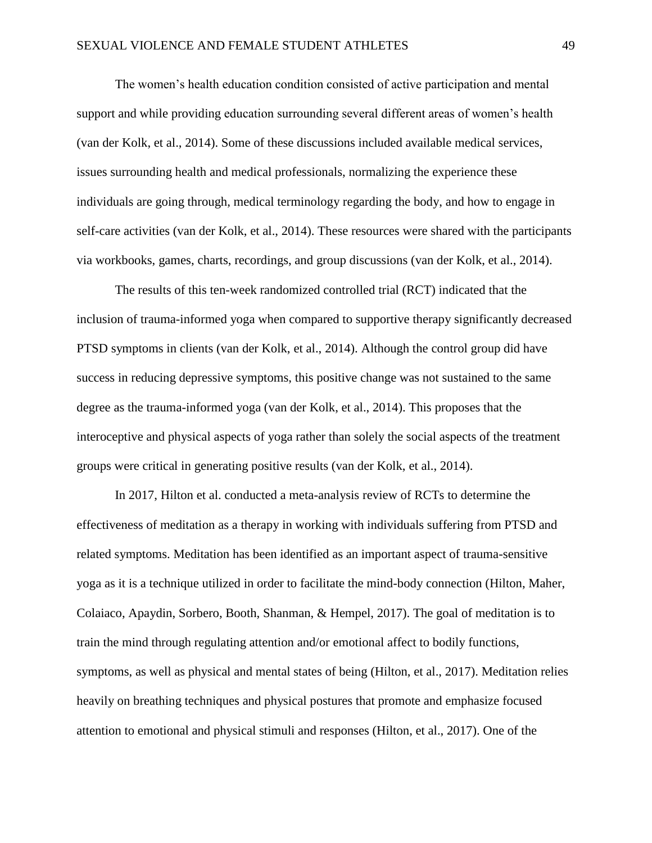The women's health education condition consisted of active participation and mental support and while providing education surrounding several different areas of women's health (van der Kolk, et al., 2014). Some of these discussions included available medical services, issues surrounding health and medical professionals, normalizing the experience these individuals are going through, medical terminology regarding the body, and how to engage in self-care activities (van der Kolk, et al., 2014). These resources were shared with the participants via workbooks, games, charts, recordings, and group discussions (van der Kolk, et al., 2014).

The results of this ten-week randomized controlled trial (RCT) indicated that the inclusion of trauma-informed yoga when compared to supportive therapy significantly decreased PTSD symptoms in clients (van der Kolk, et al., 2014). Although the control group did have success in reducing depressive symptoms, this positive change was not sustained to the same degree as the trauma-informed yoga (van der Kolk, et al., 2014). This proposes that the interoceptive and physical aspects of yoga rather than solely the social aspects of the treatment groups were critical in generating positive results (van der Kolk, et al., 2014).

In 2017, Hilton et al. conducted a meta-analysis review of RCTs to determine the effectiveness of meditation as a therapy in working with individuals suffering from PTSD and related symptoms. Meditation has been identified as an important aspect of trauma-sensitive yoga as it is a technique utilized in order to facilitate the mind-body connection (Hilton, Maher, Colaiaco, Apaydin, Sorbero, Booth, Shanman, & Hempel, 2017). The goal of meditation is to train the mind through regulating attention and/or emotional affect to bodily functions, symptoms, as well as physical and mental states of being (Hilton, et al., 2017). Meditation relies heavily on breathing techniques and physical postures that promote and emphasize focused attention to emotional and physical stimuli and responses (Hilton, et al., 2017). One of the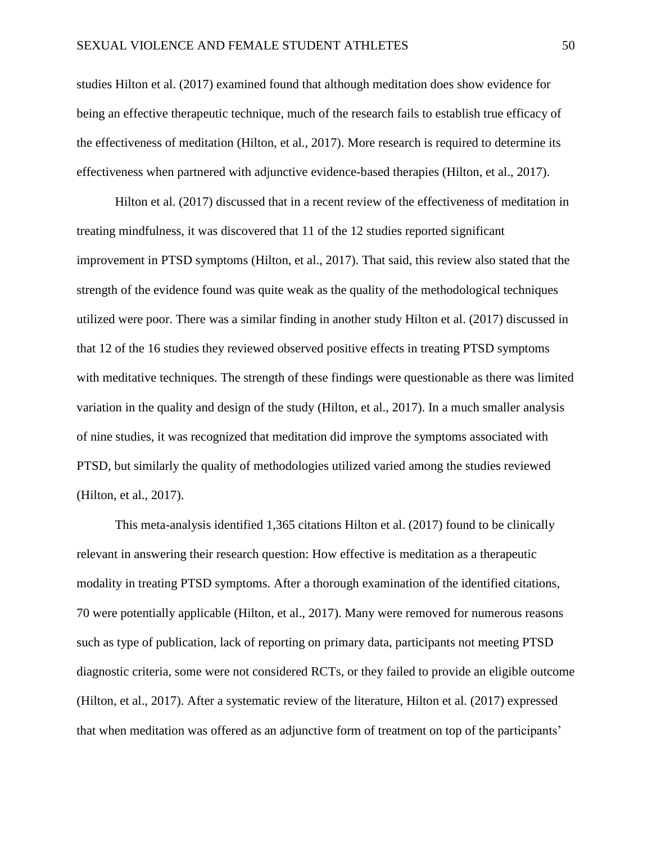studies Hilton et al. (2017) examined found that although meditation does show evidence for being an effective therapeutic technique, much of the research fails to establish true efficacy of the effectiveness of meditation (Hilton, et al., 2017). More research is required to determine its effectiveness when partnered with adjunctive evidence-based therapies (Hilton, et al., 2017).

Hilton et al. (2017) discussed that in a recent review of the effectiveness of meditation in treating mindfulness, it was discovered that 11 of the 12 studies reported significant improvement in PTSD symptoms (Hilton, et al., 2017). That said, this review also stated that the strength of the evidence found was quite weak as the quality of the methodological techniques utilized were poor. There was a similar finding in another study Hilton et al. (2017) discussed in that 12 of the 16 studies they reviewed observed positive effects in treating PTSD symptoms with meditative techniques. The strength of these findings were questionable as there was limited variation in the quality and design of the study (Hilton, et al., 2017). In a much smaller analysis of nine studies, it was recognized that meditation did improve the symptoms associated with PTSD, but similarly the quality of methodologies utilized varied among the studies reviewed (Hilton, et al., 2017).

This meta-analysis identified 1,365 citations Hilton et al. (2017) found to be clinically relevant in answering their research question: How effective is meditation as a therapeutic modality in treating PTSD symptoms. After a thorough examination of the identified citations, 70 were potentially applicable (Hilton, et al., 2017). Many were removed for numerous reasons such as type of publication, lack of reporting on primary data, participants not meeting PTSD diagnostic criteria, some were not considered RCTs, or they failed to provide an eligible outcome (Hilton, et al., 2017). After a systematic review of the literature, Hilton et al. (2017) expressed that when meditation was offered as an adjunctive form of treatment on top of the participants'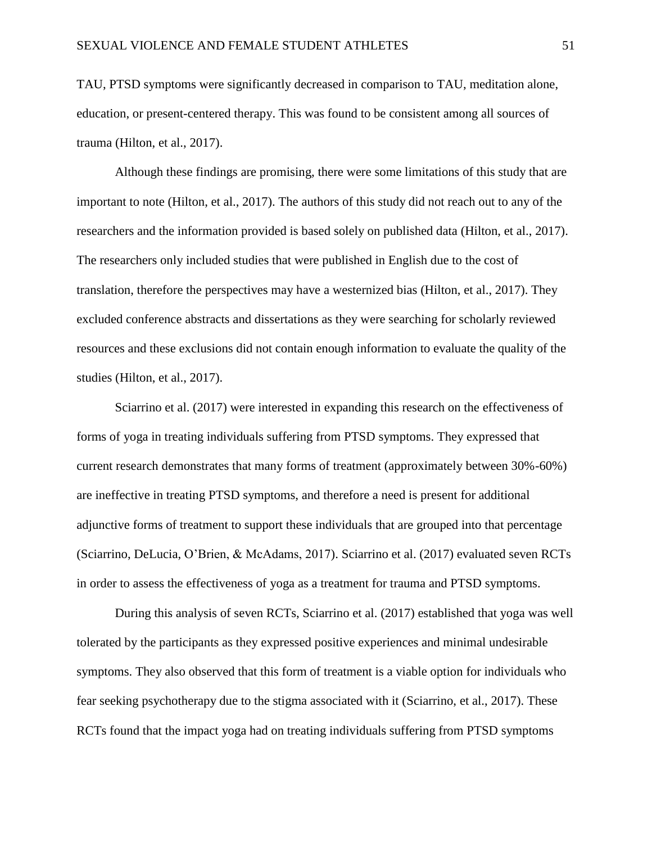TAU, PTSD symptoms were significantly decreased in comparison to TAU, meditation alone, education, or present-centered therapy. This was found to be consistent among all sources of trauma (Hilton, et al., 2017).

Although these findings are promising, there were some limitations of this study that are important to note (Hilton, et al., 2017). The authors of this study did not reach out to any of the researchers and the information provided is based solely on published data (Hilton, et al., 2017). The researchers only included studies that were published in English due to the cost of translation, therefore the perspectives may have a westernized bias (Hilton, et al., 2017). They excluded conference abstracts and dissertations as they were searching for scholarly reviewed resources and these exclusions did not contain enough information to evaluate the quality of the studies (Hilton, et al., 2017).

Sciarrino et al. (2017) were interested in expanding this research on the effectiveness of forms of yoga in treating individuals suffering from PTSD symptoms. They expressed that current research demonstrates that many forms of treatment (approximately between 30%-60%) are ineffective in treating PTSD symptoms, and therefore a need is present for additional adjunctive forms of treatment to support these individuals that are grouped into that percentage (Sciarrino, DeLucia, O'Brien, & McAdams, 2017). Sciarrino et al. (2017) evaluated seven RCTs in order to assess the effectiveness of yoga as a treatment for trauma and PTSD symptoms.

During this analysis of seven RCTs, Sciarrino et al. (2017) established that yoga was well tolerated by the participants as they expressed positive experiences and minimal undesirable symptoms. They also observed that this form of treatment is a viable option for individuals who fear seeking psychotherapy due to the stigma associated with it (Sciarrino, et al., 2017). These RCTs found that the impact yoga had on treating individuals suffering from PTSD symptoms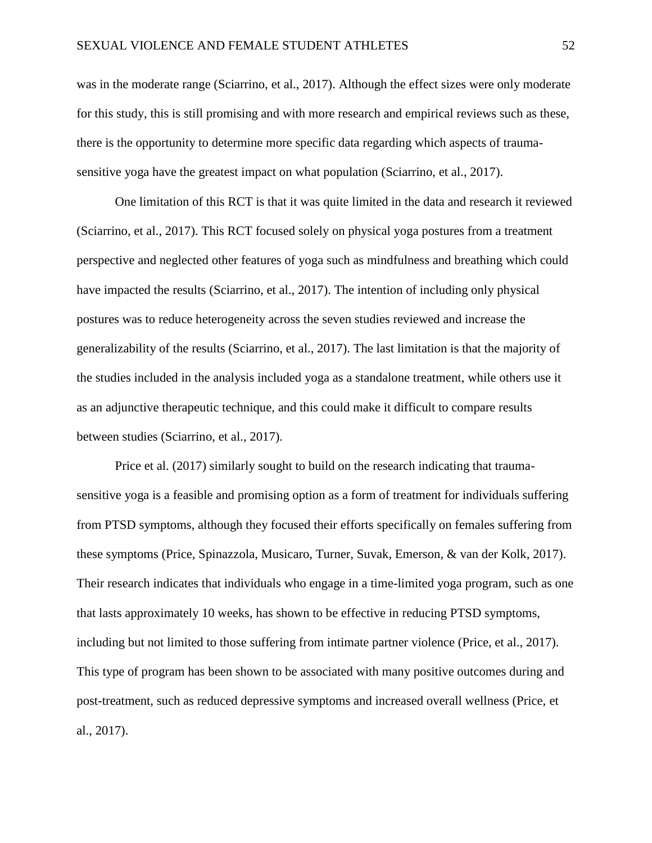was in the moderate range (Sciarrino, et al., 2017). Although the effect sizes were only moderate for this study, this is still promising and with more research and empirical reviews such as these, there is the opportunity to determine more specific data regarding which aspects of traumasensitive yoga have the greatest impact on what population (Sciarrino, et al., 2017).

One limitation of this RCT is that it was quite limited in the data and research it reviewed (Sciarrino, et al., 2017). This RCT focused solely on physical yoga postures from a treatment perspective and neglected other features of yoga such as mindfulness and breathing which could have impacted the results (Sciarrino, et al., 2017). The intention of including only physical postures was to reduce heterogeneity across the seven studies reviewed and increase the generalizability of the results (Sciarrino, et al., 2017). The last limitation is that the majority of the studies included in the analysis included yoga as a standalone treatment, while others use it as an adjunctive therapeutic technique, and this could make it difficult to compare results between studies (Sciarrino, et al., 2017).

Price et al. (2017) similarly sought to build on the research indicating that traumasensitive yoga is a feasible and promising option as a form of treatment for individuals suffering from PTSD symptoms, although they focused their efforts specifically on females suffering from these symptoms (Price, Spinazzola, Musicaro, Turner, Suvak, Emerson, & van der Kolk, 2017). Their research indicates that individuals who engage in a time-limited yoga program, such as one that lasts approximately 10 weeks, has shown to be effective in reducing PTSD symptoms, including but not limited to those suffering from intimate partner violence (Price, et al., 2017). This type of program has been shown to be associated with many positive outcomes during and post-treatment, such as reduced depressive symptoms and increased overall wellness (Price, et al., 2017).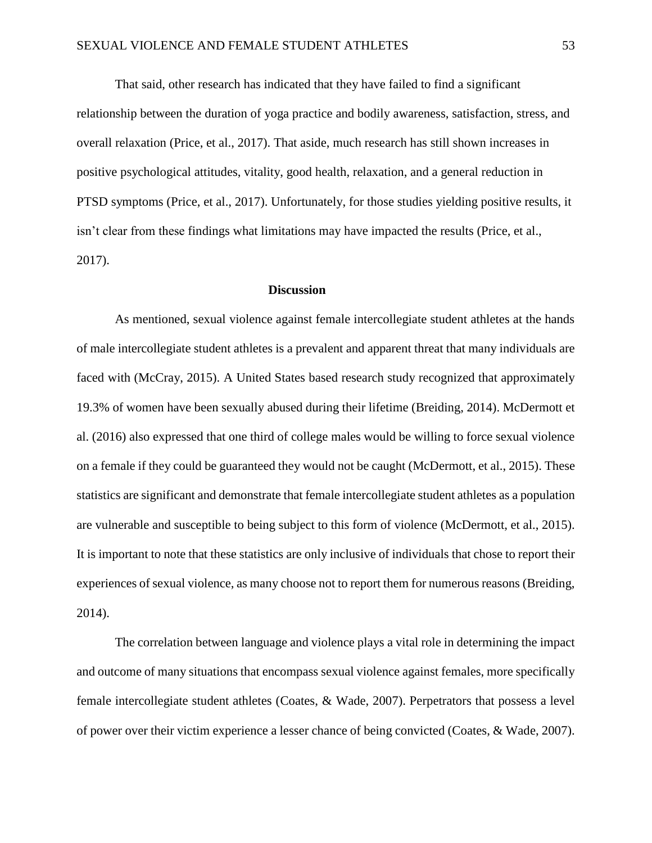That said, other research has indicated that they have failed to find a significant relationship between the duration of yoga practice and bodily awareness, satisfaction, stress, and overall relaxation (Price, et al., 2017). That aside, much research has still shown increases in positive psychological attitudes, vitality, good health, relaxation, and a general reduction in PTSD symptoms (Price, et al., 2017). Unfortunately, for those studies yielding positive results, it isn't clear from these findings what limitations may have impacted the results (Price, et al., 2017).

# **Discussion**

As mentioned, sexual violence against female intercollegiate student athletes at the hands of male intercollegiate student athletes is a prevalent and apparent threat that many individuals are faced with (McCray, 2015). A United States based research study recognized that approximately 19.3% of women have been sexually abused during their lifetime (Breiding, 2014). McDermott et al. (2016) also expressed that one third of college males would be willing to force sexual violence on a female if they could be guaranteed they would not be caught (McDermott, et al., 2015). These statistics are significant and demonstrate that female intercollegiate student athletes as a population are vulnerable and susceptible to being subject to this form of violence (McDermott, et al., 2015). It is important to note that these statistics are only inclusive of individuals that chose to report their experiences of sexual violence, as many choose not to report them for numerous reasons (Breiding, 2014).

The correlation between language and violence plays a vital role in determining the impact and outcome of many situations that encompass sexual violence against females, more specifically female intercollegiate student athletes (Coates, & Wade, 2007). Perpetrators that possess a level of power over their victim experience a lesser chance of being convicted (Coates, & Wade, 2007).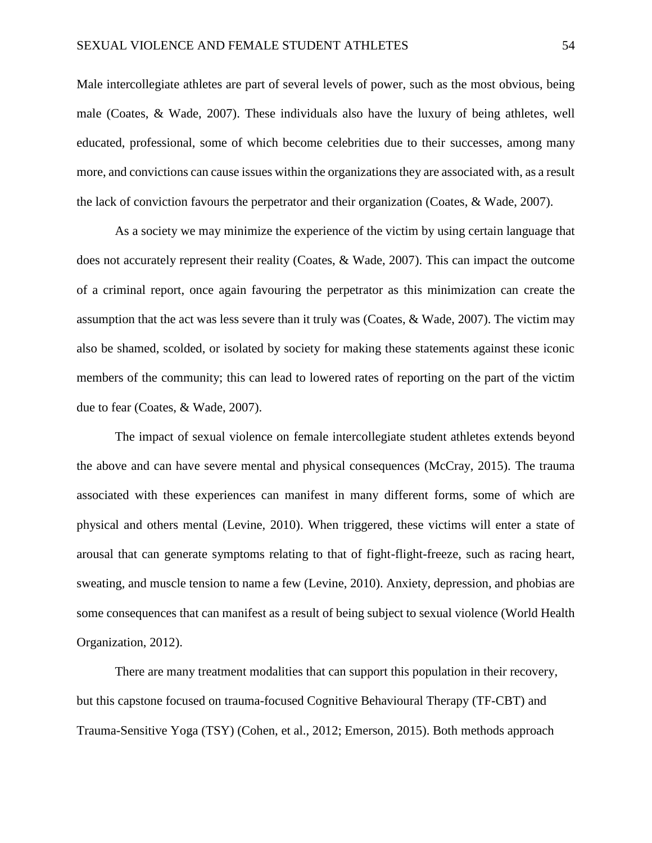Male intercollegiate athletes are part of several levels of power, such as the most obvious, being male (Coates, & Wade, 2007). These individuals also have the luxury of being athletes, well educated, professional, some of which become celebrities due to their successes, among many more, and convictions can cause issues within the organizations they are associated with, as a result the lack of conviction favours the perpetrator and their organization (Coates, & Wade, 2007).

As a society we may minimize the experience of the victim by using certain language that does not accurately represent their reality (Coates, & Wade, 2007). This can impact the outcome of a criminal report, once again favouring the perpetrator as this minimization can create the assumption that the act was less severe than it truly was (Coates, & Wade, 2007). The victim may also be shamed, scolded, or isolated by society for making these statements against these iconic members of the community; this can lead to lowered rates of reporting on the part of the victim due to fear (Coates, & Wade, 2007).

The impact of sexual violence on female intercollegiate student athletes extends beyond the above and can have severe mental and physical consequences (McCray, 2015). The trauma associated with these experiences can manifest in many different forms, some of which are physical and others mental (Levine, 2010). When triggered, these victims will enter a state of arousal that can generate symptoms relating to that of fight-flight-freeze, such as racing heart, sweating, and muscle tension to name a few (Levine, 2010). Anxiety, depression, and phobias are some consequences that can manifest as a result of being subject to sexual violence (World Health Organization, 2012).

There are many treatment modalities that can support this population in their recovery, but this capstone focused on trauma-focused Cognitive Behavioural Therapy (TF-CBT) and Trauma-Sensitive Yoga (TSY) (Cohen, et al., 2012; Emerson, 2015). Both methods approach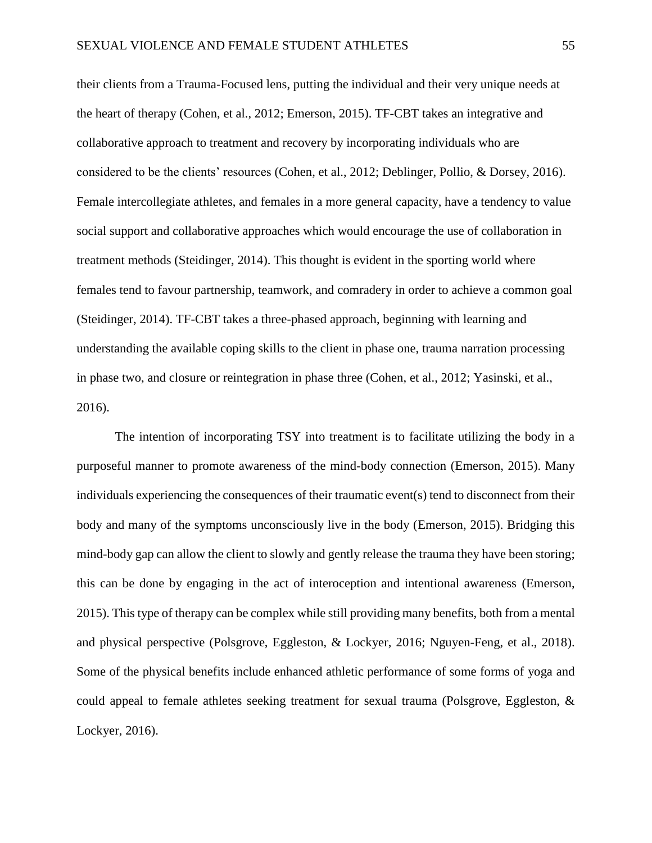their clients from a Trauma-Focused lens, putting the individual and their very unique needs at the heart of therapy (Cohen, et al., 2012; Emerson, 2015). TF-CBT takes an integrative and collaborative approach to treatment and recovery by incorporating individuals who are considered to be the clients' resources (Cohen, et al., 2012; Deblinger, Pollio, & Dorsey, 2016). Female intercollegiate athletes, and females in a more general capacity, have a tendency to value social support and collaborative approaches which would encourage the use of collaboration in treatment methods (Steidinger, 2014). This thought is evident in the sporting world where females tend to favour partnership, teamwork, and comradery in order to achieve a common goal (Steidinger, 2014). TF-CBT takes a three-phased approach, beginning with learning and understanding the available coping skills to the client in phase one, trauma narration processing in phase two, and closure or reintegration in phase three (Cohen, et al., 2012; Yasinski, et al., 2016).

The intention of incorporating TSY into treatment is to facilitate utilizing the body in a purposeful manner to promote awareness of the mind-body connection (Emerson, 2015). Many individuals experiencing the consequences of their traumatic event(s) tend to disconnect from their body and many of the symptoms unconsciously live in the body (Emerson, 2015). Bridging this mind-body gap can allow the client to slowly and gently release the trauma they have been storing; this can be done by engaging in the act of interoception and intentional awareness (Emerson, 2015). This type of therapy can be complex while still providing many benefits, both from a mental and physical perspective (Polsgrove, Eggleston, & Lockyer, 2016; Nguyen-Feng, et al., 2018). Some of the physical benefits include enhanced athletic performance of some forms of yoga and could appeal to female athletes seeking treatment for sexual trauma (Polsgrove, Eggleston, & Lockyer, 2016).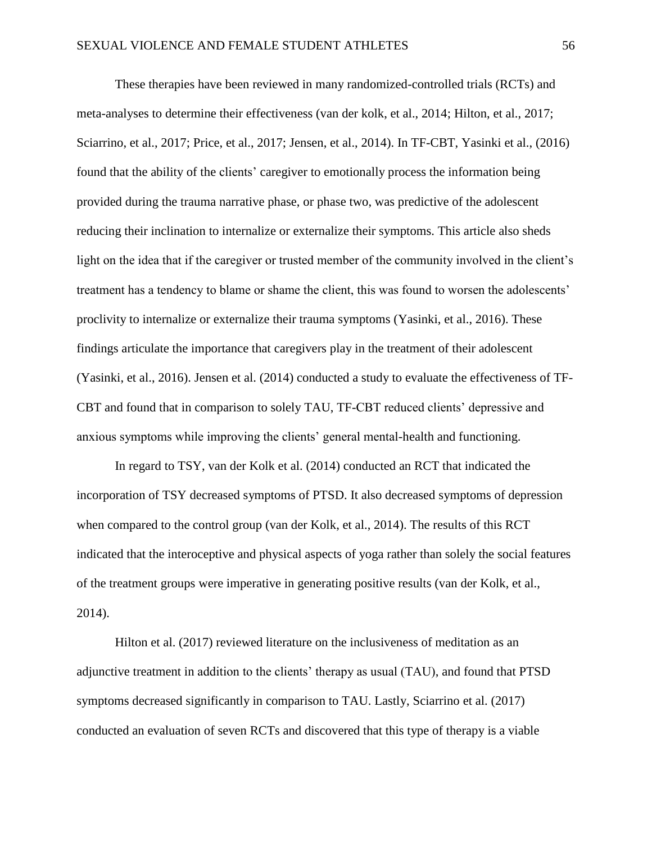These therapies have been reviewed in many randomized-controlled trials (RCTs) and meta-analyses to determine their effectiveness (van der kolk, et al., 2014; Hilton, et al., 2017; Sciarrino, et al., 2017; Price, et al., 2017; Jensen, et al., 2014). In TF-CBT, Yasinki et al., (2016) found that the ability of the clients' caregiver to emotionally process the information being provided during the trauma narrative phase, or phase two, was predictive of the adolescent reducing their inclination to internalize or externalize their symptoms. This article also sheds light on the idea that if the caregiver or trusted member of the community involved in the client's treatment has a tendency to blame or shame the client, this was found to worsen the adolescents' proclivity to internalize or externalize their trauma symptoms (Yasinki, et al., 2016). These findings articulate the importance that caregivers play in the treatment of their adolescent (Yasinki, et al., 2016). Jensen et al. (2014) conducted a study to evaluate the effectiveness of TF-CBT and found that in comparison to solely TAU, TF-CBT reduced clients' depressive and anxious symptoms while improving the clients' general mental-health and functioning.

In regard to TSY, van der Kolk et al. (2014) conducted an RCT that indicated the incorporation of TSY decreased symptoms of PTSD. It also decreased symptoms of depression when compared to the control group (van der Kolk, et al., 2014). The results of this RCT indicated that the interoceptive and physical aspects of yoga rather than solely the social features of the treatment groups were imperative in generating positive results (van der Kolk, et al., 2014).

Hilton et al. (2017) reviewed literature on the inclusiveness of meditation as an adjunctive treatment in addition to the clients' therapy as usual (TAU), and found that PTSD symptoms decreased significantly in comparison to TAU. Lastly, Sciarrino et al. (2017) conducted an evaluation of seven RCTs and discovered that this type of therapy is a viable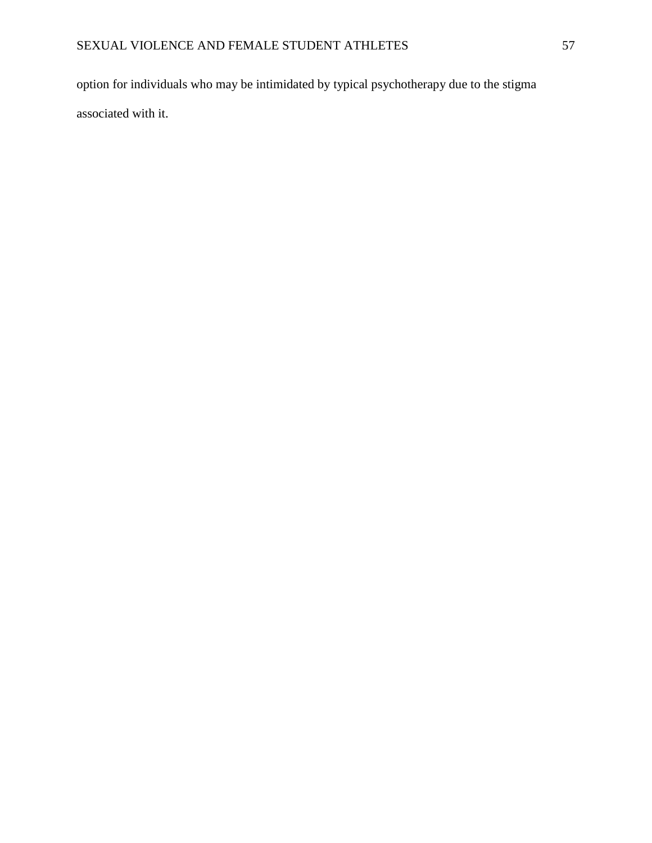option for individuals who may be intimidated by typical psychotherapy due to the stigma associated with it.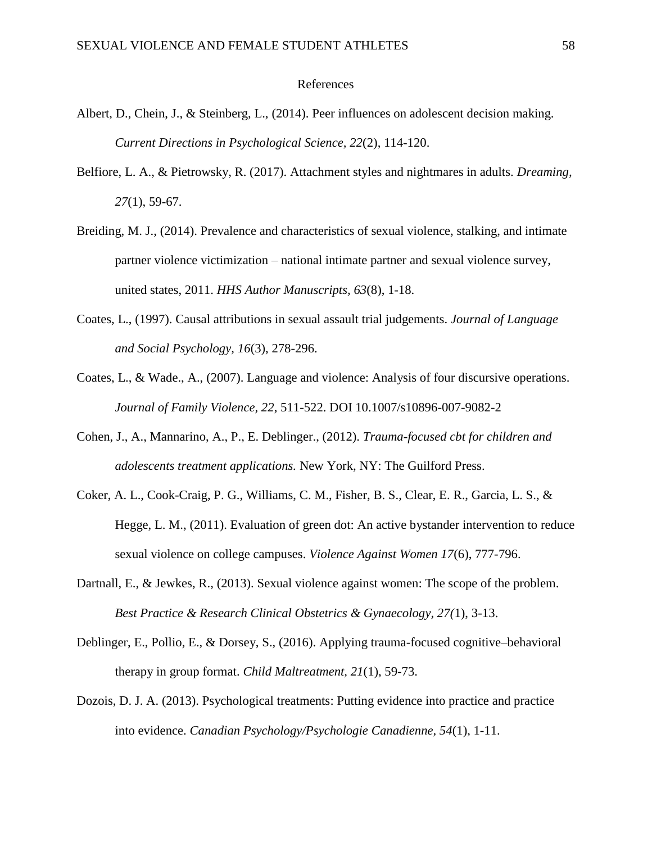# References

- Albert, D., Chein, J., & Steinberg, L., (2014). Peer influences on adolescent decision making. *Current Directions in Psychological Science, 22*(2), 114-120.
- Belfiore, L. A., & Pietrowsky, R. (2017). Attachment styles and nightmares in adults. *Dreaming, 27*(1), 59-67.
- Breiding, M. J., (2014). Prevalence and characteristics of sexual violence, stalking, and intimate partner violence victimization – national intimate partner and sexual violence survey, united states, 2011. *HHS Author Manuscripts, 63*(8), 1-18.
- Coates, L., (1997). Causal attributions in sexual assault trial judgements. *Journal of Language and Social Psychology, 16*(3), 278-296.
- Coates, L., & Wade., A., (2007). Language and violence: Analysis of four discursive operations. *Journal of Family Violence, 22*, 511-522. DOI 10.1007/s10896-007-9082-2
- Cohen, J., A., Mannarino, A., P., E. Deblinger., (2012). *Trauma-focused cbt for children and adolescents treatment applications.* New York, NY: The Guilford Press.
- Coker, A. L., Cook-Craig, P. G., Williams, C. M., Fisher, B. S., Clear, E. R., Garcia, L. S., & Hegge, L. M., (2011). Evaluation of green dot: An active bystander intervention to reduce sexual violence on college campuses. *Violence Against Women 17*(6), 777-796.
- Dartnall, E., & Jewkes, R., (2013). Sexual violence against women: The scope of the problem. *Best Practice & Research Clinical Obstetrics & Gynaecology, 27(*1), 3-13.
- Deblinger, E., Pollio, E., & Dorsey, S., (2016). Applying trauma-focused cognitive–behavioral therapy in group format. *Child Maltreatment, 21*(1), 59-73.
- Dozois, D. J. A. (2013). Psychological treatments: Putting evidence into practice and practice into evidence. *Canadian Psychology/Psychologie Canadienne, 54*(1), 1-11.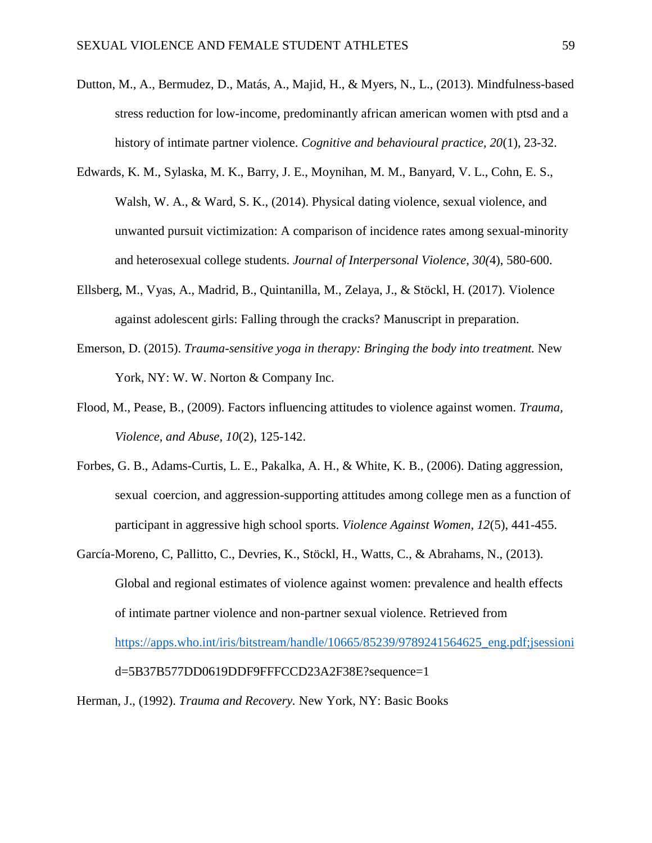- Dutton, M., A., Bermudez, D., Matás, A., Majid, H., & Myers, N., L., (2013). Mindfulness-based stress reduction for low-income, predominantly african american women with ptsd and a history of intimate partner violence. *Cognitive and behavioural practice, 20*(1), 23-32.
- Edwards, K. M., Sylaska, M. K., Barry, J. E., Moynihan, M. M., Banyard, V. L., Cohn, E. S., Walsh, W. A., & Ward, S. K., (2014). Physical dating violence, sexual violence, and unwanted pursuit victimization: A comparison of incidence rates among sexual-minority and heterosexual college students. *Journal of Interpersonal Violence, 30(*4), 580-600.
- Ellsberg, M., Vyas, A., Madrid, B., Quintanilla, M., Zelaya, J., & Stöckl, H. (2017). Violence against adolescent girls: Falling through the cracks? Manuscript in preparation.
- Emerson, D. (2015). *Trauma-sensitive yoga in therapy: Bringing the body into treatment.* New York, NY: W. W. Norton & Company Inc.
- Flood, M., Pease, B., (2009). Factors influencing attitudes to violence against women. *Trauma, Violence, and Abuse, 10*(2), 125-142.
- Forbes, G. B., Adams-Curtis, L. E., Pakalka, A. H., & White, K. B., (2006). Dating aggression, sexual coercion, and aggression-supporting attitudes among college men as a function of participant in aggressive high school sports. *Violence Against Women, 12*(5), 441-455.
- García-Moreno, C, Pallitto, C., Devries, K., Stöckl, H., Watts, C., & Abrahams, N., (2013). Global and regional estimates of violence against women: prevalence and health effects of intimate partner violence and non-partner sexual violence. Retrieved from [https://apps.who.int/iris/bitstream/handle/10665/85239/9789241564625\\_eng.pdf;jsessioni](https://apps.who.int/iris/bitstream/handle/10665/85239/9789241564625_eng.pdf;jsessioni) d=5B37B577DD0619DDF9FFFCCD23A2F38E?sequence=1
- Herman, J., (1992). *Trauma and Recovery.* New York, NY: Basic Books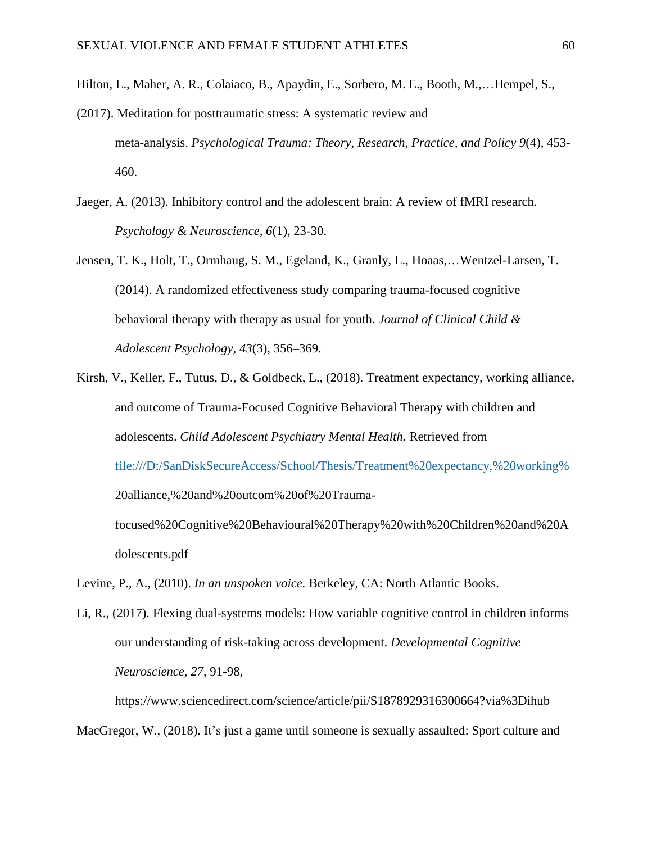Hilton, L., Maher, A. R., Colaiaco, B., Apaydin, E., Sorbero, M. E., Booth, M.,…Hempel, S.,

- (2017). Meditation for posttraumatic stress: A systematic review and meta-analysis. *Psychological Trauma: Theory, Research, Practice, and Policy 9*(4), 453- 460.
- Jaeger, A. (2013). Inhibitory control and the adolescent brain: A review of fMRI research. *Psychology & Neuroscience, 6*(1), 23-30.
- Jensen, T. K., Holt, T., Ormhaug, S. M., Egeland, K., Granly, L., Hoaas,…Wentzel-Larsen, T. (2014). A randomized effectiveness study comparing trauma-focused cognitive behavioral therapy with therapy as usual for youth. *Journal of Clinical Child & Adolescent Psychology, 43*(3), 356–369.
- Kirsh, V., Keller, F., Tutus, D., & Goldbeck, L., (2018). Treatment expectancy, working alliance, and outcome of Trauma-Focused Cognitive Behavioral Therapy with children and adolescents. *Child Adolescent Psychiatry Mental Health.* Retrieved from [file:///D:/SanDiskSecureAccess/School/Thesis/Treatment%20expectancy,%20working%](file:///D:/SanDiskSecureAccess/School/Thesis/Treatment%20expectancy,%20working%25) 20alliance,%20and%20outcom%20of%20Traumafocused%20Cognitive%20Behavioural%20Therapy%20with%20Children%20and%20A

dolescents.pdf

Levine, P., A., (2010). *In an unspoken voice.* Berkeley, CA: North Atlantic Books.

Li, R., (2017). Flexing dual-systems models: How variable cognitive control in children informs our understanding of risk-taking across development. *Developmental Cognitive Neuroscience, 27*, 91-98,

https://www.sciencedirect.com/science/article/pii/S1878929316300664?via%3Dihub

MacGregor, W., (2018). It's just a game until someone is sexually assaulted: Sport culture and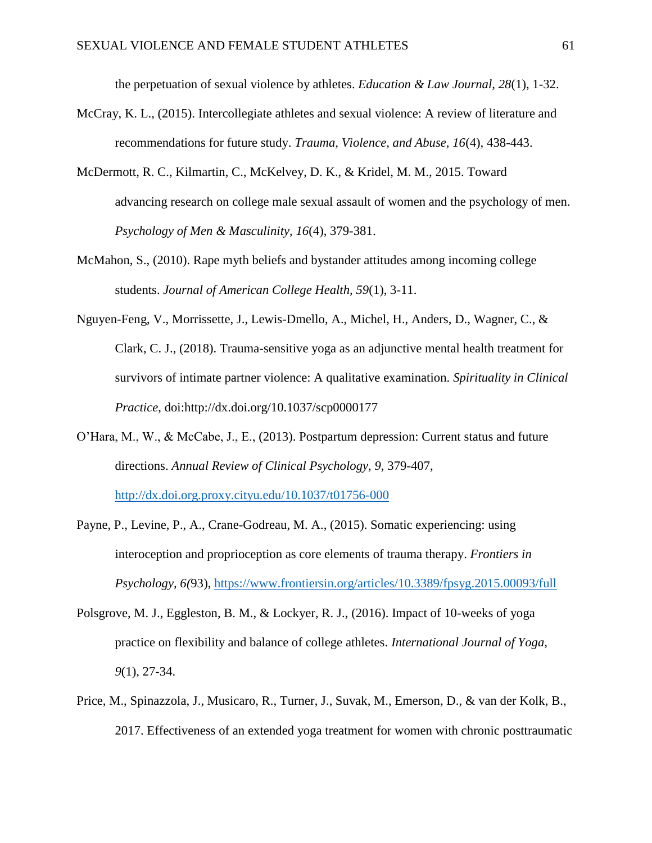the perpetuation of sexual violence by athletes. *Education & Law Journal, 28*(1), 1-32.

- McCray, K. L., (2015). Intercollegiate athletes and sexual violence: A review of literature and recommendations for future study. *Trauma, Violence, and Abuse, 16*(4), 438-443.
- McDermott, R. C., Kilmartin, C., McKelvey, D. K., & Kridel, M. M., 2015. Toward advancing research on college male sexual assault of women and the psychology of men. *Psychology of Men & Masculinity, 16*(4), 379-381.
- McMahon, S., (2010). Rape myth beliefs and bystander attitudes among incoming college students. *Journal of American College Health, 59*(1), 3-11.
- Nguyen-Feng, V., Morrissette, J., Lewis-Dmello, A., Michel, H., Anders, D., Wagner, C., & Clark, C. J., (2018). Trauma-sensitive yoga as an adjunctive mental health treatment for survivors of intimate partner violence: A qualitative examination. *Spirituality in Clinical Practice*, doi:http://dx.doi.org/10.1037/scp0000177
- O'Hara, M., W., & McCabe, J., E., (2013). Postpartum depression: Current status and future directions. *Annual Review of Clinical Psychology, 9,* 379-407, <http://dx.doi.org.proxy.cityu.edu/10.1037/t01756-000>
- Payne, P., Levine, P., A., Crane-Godreau, M. A., (2015). Somatic experiencing: using interoception and proprioception as core elements of trauma therapy. *Frontiers in Psychology, 6(*93),<https://www.frontiersin.org/articles/10.3389/fpsyg.2015.00093/full>
- Polsgrove, M. J., Eggleston, B. M., & Lockyer, R. J., (2016). Impact of 10-weeks of yoga practice on flexibility and balance of college athletes. *International Journal of Yoga, 9*(1), 27-34.
- Price, M., Spinazzola, J., Musicaro, R., Turner, J., Suvak, M., Emerson, D., & van der Kolk, B., 2017. Effectiveness of an extended yoga treatment for women with chronic posttraumatic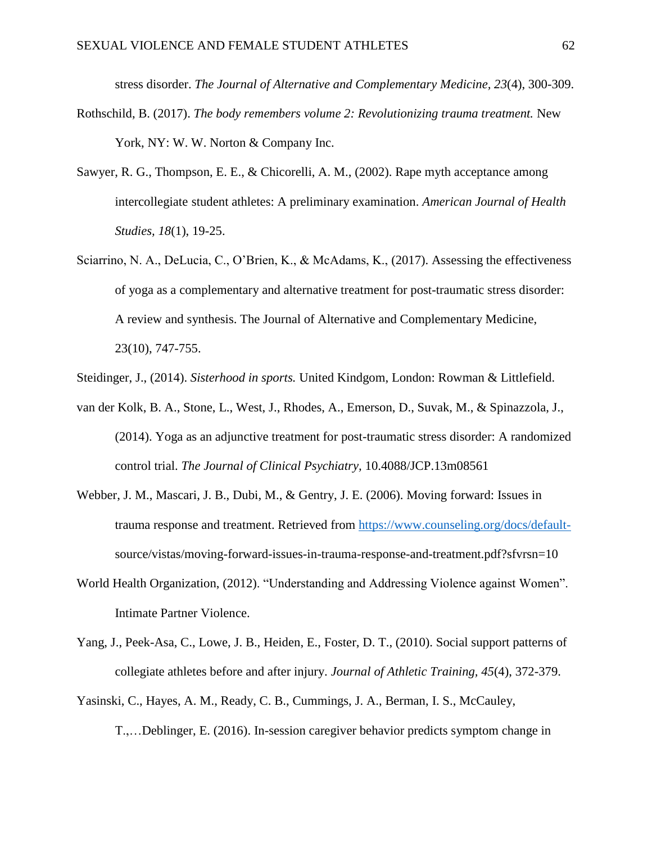stress disorder. *The Journal of Alternative and Complementary Medicine, 23*(4), 300-309.

- Rothschild, B. (2017). *The body remembers volume 2: Revolutionizing trauma treatment.* New York, NY: W. W. Norton & Company Inc.
- Sawyer, R. G., Thompson, E. E., & Chicorelli, A. M., (2002). Rape myth acceptance among intercollegiate student athletes: A preliminary examination. *American Journal of Health Studies, 18*(1), 19-25.
- Sciarrino, N. A., DeLucia, C., O'Brien, K., & McAdams, K., (2017). Assessing the effectiveness of yoga as a complementary and alternative treatment for post-traumatic stress disorder: A review and synthesis. The Journal of Alternative and Complementary Medicine, 23(10), 747-755.
- Steidinger, J., (2014). *Sisterhood in sports.* United Kindgom, London: Rowman & Littlefield.
- van der Kolk, B. A., Stone, L., West, J., Rhodes, A., Emerson, D., Suvak, M., & Spinazzola, J., (2014). Yoga as an adjunctive treatment for post-traumatic stress disorder: A randomized control trial. *The Journal of Clinical Psychiatry,* 10.4088/JCP.13m08561
- Webber, J. M., Mascari, J. B., Dubi, M., & Gentry, J. E. (2006). Moving forward: Issues in trauma response and treatment. Retrieved from [https://www.counseling.org/docs/default](https://www.counseling.org/docs/default-)source/vistas/moving-forward-issues-in-trauma-response-and-treatment.pdf?sfvrsn=10
- World Health Organization, (2012). "Understanding and Addressing Violence against Women". Intimate Partner Violence.
- Yang, J., Peek-Asa, C., Lowe, J. B., Heiden, E., Foster, D. T., (2010). Social support patterns of collegiate athletes before and after injury. *Journal of Athletic Training, 45*(4), 372-379.
- Yasinski, C., Hayes, A. M., Ready, C. B., Cummings, J. A., Berman, I. S., McCauley,